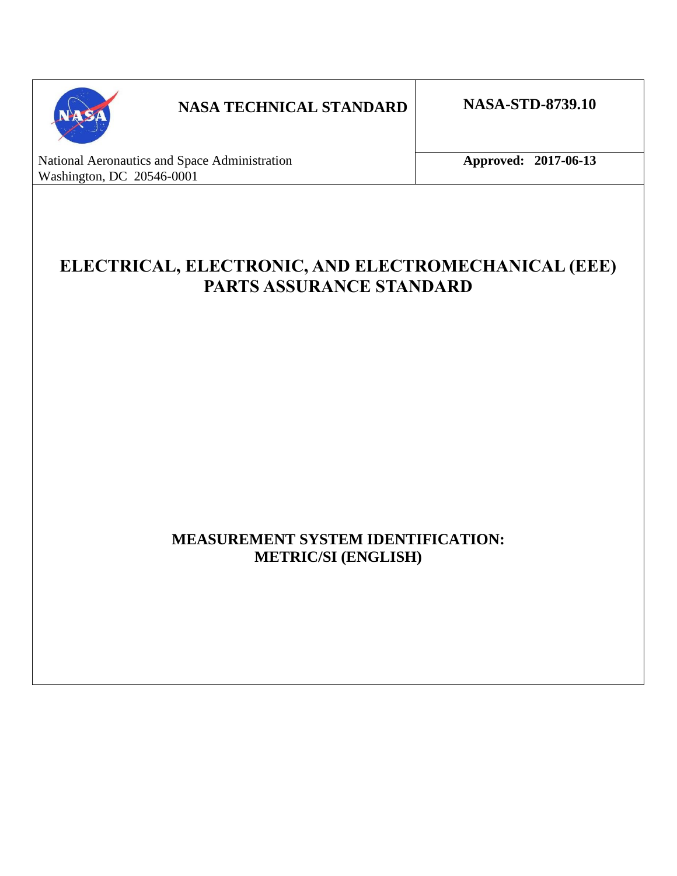

# **NASA TECHNICAL STANDARD NASA-STD-8739.10**

National Aeronautics and Space Administration **Approved: 2017-06-13** Washington, DC 20546-0001

# **ELECTRICAL, ELECTRONIC, AND ELECTROMECHANICAL (EEE) PARTS ASSURANCE STANDARD**

# **MEASUREMENT SYSTEM IDENTIFICATION: METRIC/SI (ENGLISH)**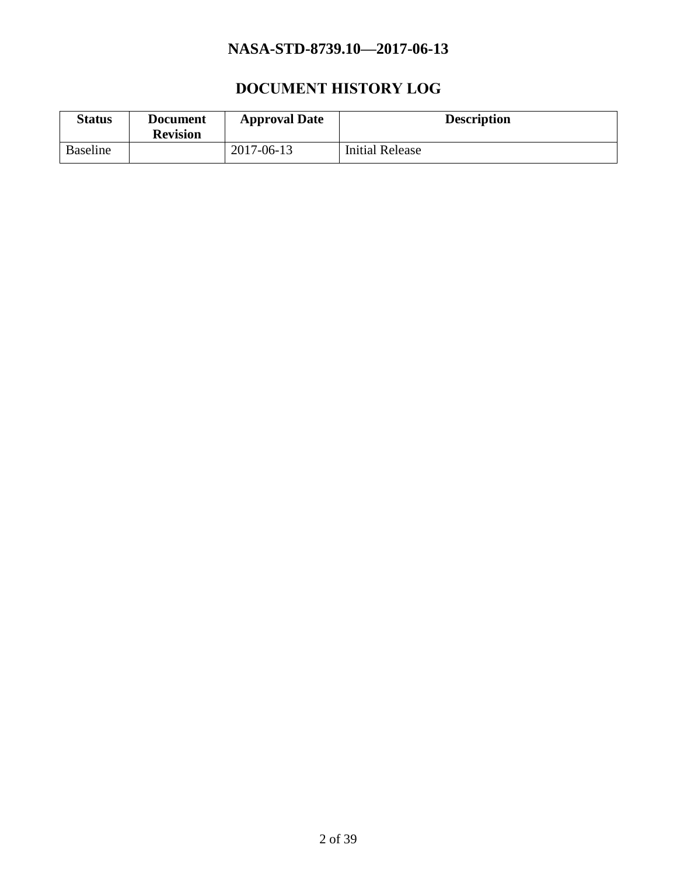# **DOCUMENT HISTORY LOG**

<span id="page-1-0"></span>

| <b>Status</b> | <b>Document</b><br><b>Revision</b> | <b>Approval Date</b> | <b>Description</b>     |
|---------------|------------------------------------|----------------------|------------------------|
| Baseline      |                                    | 2017-06-13           | <b>Initial Release</b> |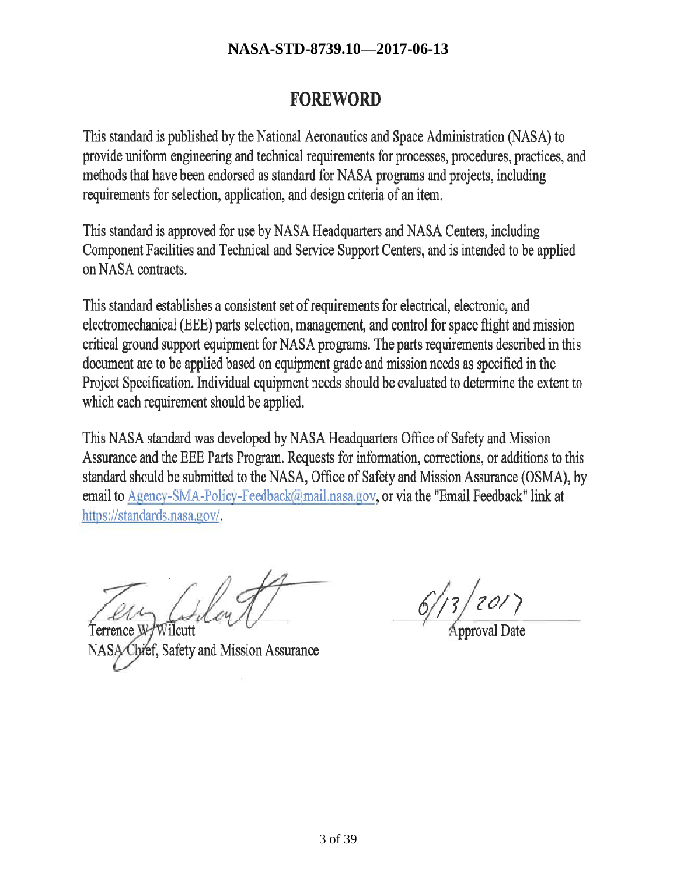# **FOREWORD**

This standard is published by the National Aeronautics and Space Administration (NASA) to provide uniform engineering and technical requirements for processes, procedures, practices, and methods that have been endorsed as standard for NASA programs and projects, including requirements for selection, application, and design criteria of an item.

This standard is approved for use by NASA Headquarters and NASA Centers, including Component Facilities and Technical and Service Support Centers, and is intended to be applied on NASA contracts.

This standard establishes a consistent set of requirements for electrical, electronic, and electromechanical (EEE) parts selection, management, and control for space flight and mission critical ground support equipment for NASA programs. The parts requirements described in this document are to be applied based on equipment grade and mission needs as specified in the Project Specification. Individual equipment needs should be evaluated to determine the extent to which each requirement should be applied.

This NASA standard was developed by NASA Headquarters Office of Safety and Mission Assurance and the EEE Parts Program. Requests for information, corrections, or additions to this standard should be submitted to the NASA, Office of Safety and Mission Assurance (OSMA), by email to Agency-SMA-Policy-Feedback@mail.nasa.gov, or via the "Email Feedback" link at https://standards.nasa.gov/.

bref, Safety and Mission Assurance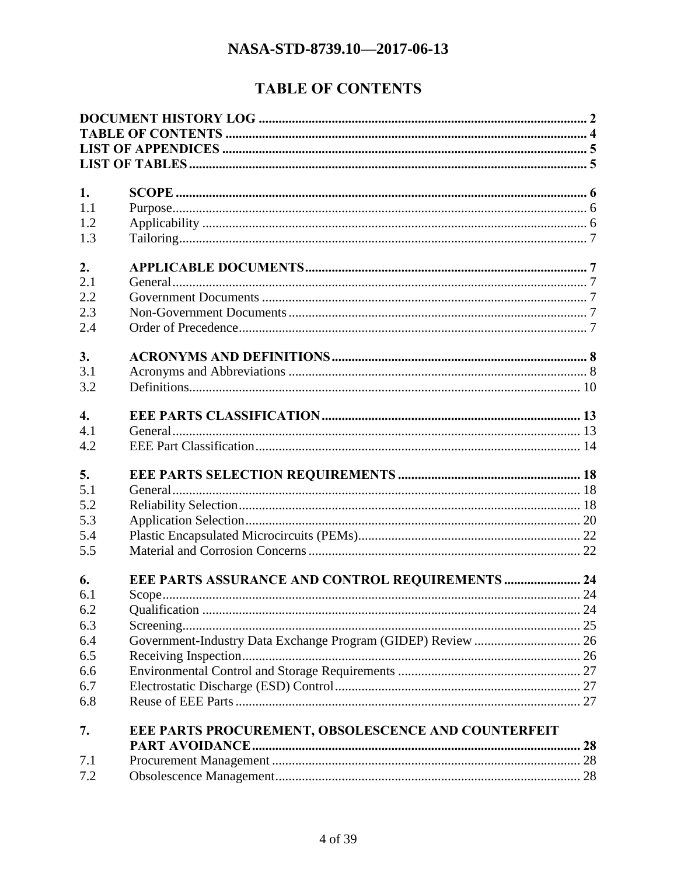# **TABLE OF CONTENTS**

<span id="page-3-0"></span>

| 1.               |                                                     |    |
|------------------|-----------------------------------------------------|----|
| 1.1              |                                                     |    |
| 1.2              |                                                     |    |
| 1.3              |                                                     |    |
| 2.               |                                                     |    |
| 2.1              |                                                     |    |
| 2.2              |                                                     |    |
| 2.3              |                                                     |    |
| 2.4              |                                                     |    |
|                  |                                                     |    |
| 3.               |                                                     |    |
| 3.1              |                                                     |    |
| 3.2              |                                                     |    |
| $\overline{4}$ . |                                                     |    |
| 4.1              |                                                     |    |
| 4.2              |                                                     |    |
| 5.               |                                                     |    |
| 5.1              |                                                     |    |
| 5.2              |                                                     |    |
| 5.3              |                                                     |    |
| 5.4              |                                                     |    |
| 5.5              |                                                     |    |
|                  |                                                     |    |
| 6.               | EEE PARTS ASSURANCE AND CONTROL REQUIREMENTS  24    |    |
| 6.1              |                                                     |    |
| 6.2              |                                                     |    |
| 6.3              |                                                     |    |
| 6.4              |                                                     |    |
| 6.5              |                                                     |    |
| 6.6              |                                                     |    |
| 6.7              |                                                     |    |
| 6.8              |                                                     |    |
| 7.               | EEE PARTS PROCUREMENT, OBSOLESCENCE AND COUNTERFEIT |    |
|                  |                                                     | 28 |
| 7.1              |                                                     |    |
| 7.2              |                                                     |    |
|                  |                                                     |    |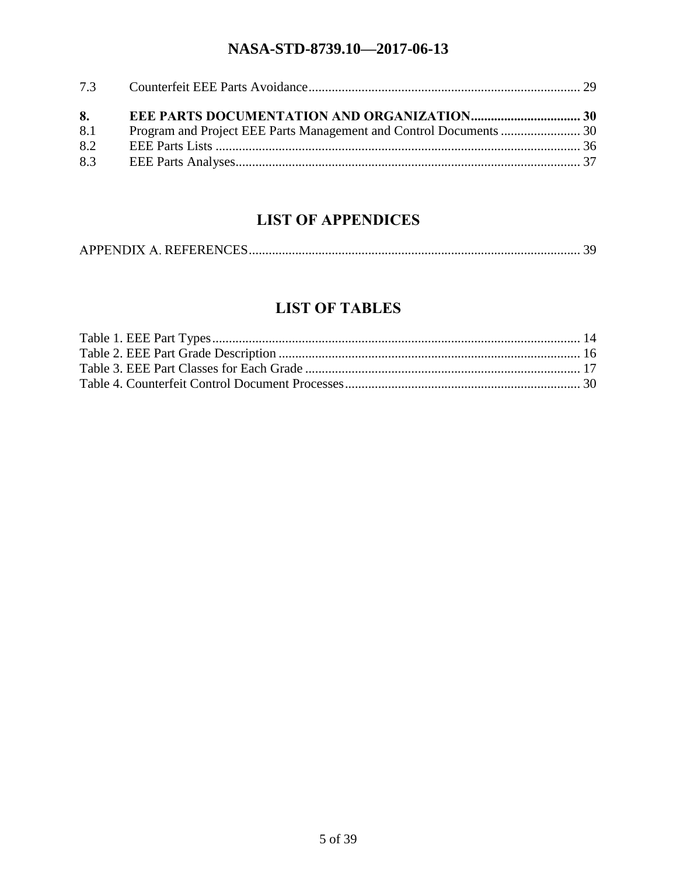| 8.  |  |
|-----|--|
| 8.1 |  |
| 8.2 |  |
|     |  |
|     |  |

# **LIST OF APPENDICES**

<span id="page-4-0"></span>

|--|

# **LIST OF TABLES**

<span id="page-4-1"></span>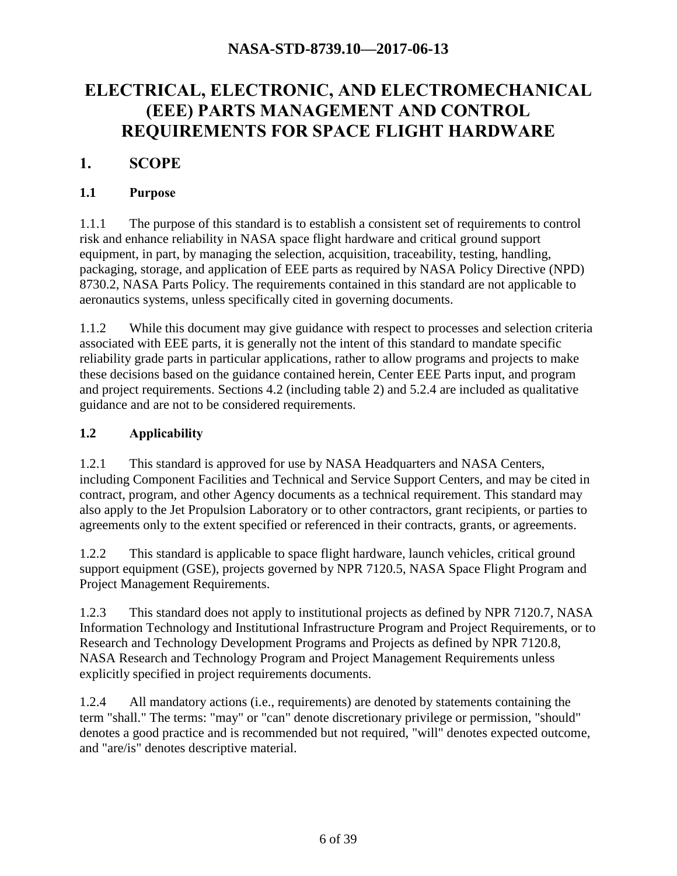# **ELECTRICAL, ELECTRONIC, AND ELECTROMECHANICAL (EEE) PARTS MANAGEMENT AND CONTROL REQUIREMENTS FOR SPACE FLIGHT HARDWARE**

# <span id="page-5-0"></span>**1. SCOPE**

#### <span id="page-5-1"></span>**1.1 Purpose**

1.1.1 The purpose of this standard is to establish a consistent set of requirements to control risk and enhance reliability in NASA space flight hardware and critical ground support equipment, in part, by managing the selection, acquisition, traceability, testing, handling, packaging, storage, and application of EEE parts as required by NASA Policy Directive (NPD) 8730.2, NASA Parts Policy. The requirements contained in this standard are not applicable to aeronautics systems, unless specifically cited in governing documents.

1.1.2 While this document may give guidance with respect to processes and selection criteria associated with EEE parts, it is generally not the intent of this standard to mandate specific reliability grade parts in particular applications, rather to allow programs and projects to make these decisions based on the guidance contained herein, Center EEE Parts input, and program and project requirements. Sections 4.2 (including table 2) and 5.2.4 are included as qualitative guidance and are not to be considered requirements.

### <span id="page-5-2"></span>**1.2 Applicability**

1.2.1 This standard is approved for use by NASA Headquarters and NASA Centers, including Component Facilities and Technical and Service Support Centers, and may be cited in contract, program, and other Agency documents as a technical requirement. This standard may also apply to the Jet Propulsion Laboratory or to other contractors, grant recipients, or parties to agreements only to the extent specified or referenced in their contracts, grants, or agreements.

1.2.2 This standard is applicable to space flight hardware, launch vehicles, critical ground support equipment (GSE), projects governed by NPR 7120.5, NASA Space Flight Program and Project Management Requirements.

1.2.3 This standard does not apply to institutional projects as defined by NPR 7120.7, NASA Information Technology and Institutional Infrastructure Program and Project Requirements, or to Research and Technology Development Programs and Projects as defined by NPR 7120.8, NASA Research and Technology Program and Project Management Requirements unless explicitly specified in project requirements documents.

1.2.4 All mandatory actions (i.e., requirements) are denoted by statements containing the term "shall." The terms: "may" or "can" denote discretionary privilege or permission, "should" denotes a good practice and is recommended but not required, "will" denotes expected outcome, and "are/is" denotes descriptive material.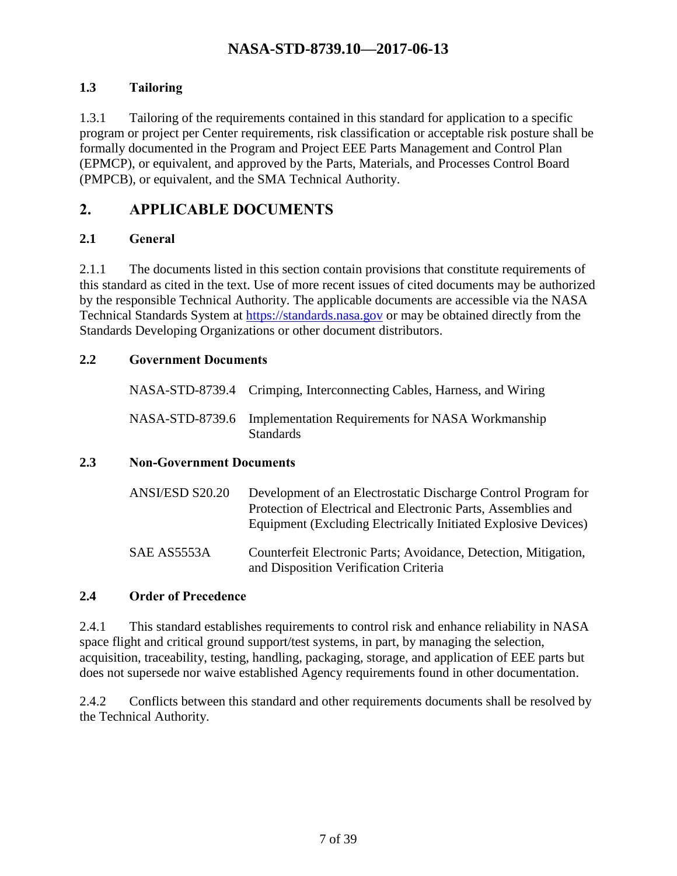### <span id="page-6-0"></span>**1.3 Tailoring**

1.3.1 Tailoring of the requirements contained in this standard for application to a specific program or project per Center requirements, risk classification or acceptable risk posture shall be formally documented in the Program and Project EEE Parts Management and Control Plan (EPMCP), or equivalent, and approved by the Parts, Materials, and Processes Control Board (PMPCB), or equivalent, and the SMA Technical Authority.

# <span id="page-6-1"></span>**2. APPLICABLE DOCUMENTS**

#### <span id="page-6-2"></span>**2.1 General**

2.1.1 The documents listed in this section contain provisions that constitute requirements of this standard as cited in the text. Use of more recent issues of cited documents may be authorized by the responsible Technical Authority. The applicable documents are accessible via the NASA Technical Standards System at [https://standards.nasa.gov](https://standards.nasa.gov/) or may be obtained directly from the Standards Developing Organizations or other document distributors.

#### <span id="page-6-3"></span>**2.2 Government Documents**

| NASA-STD-8739.4 Crimping, Interconnecting Cables, Harness, and Wiring                |
|--------------------------------------------------------------------------------------|
| NASA-STD-8739.6 Implementation Requirements for NASA Workmanship<br><b>Standards</b> |

#### <span id="page-6-4"></span>**2.3 Non-Government Documents**

| ANSI/ESD S20.20 | Development of an Electrostatic Discharge Control Program for<br>Protection of Electrical and Electronic Parts, Assemblies and<br>Equipment (Excluding Electrically Initiated Explosive Devices) |
|-----------------|--------------------------------------------------------------------------------------------------------------------------------------------------------------------------------------------------|
| SAE AS5553A     | Counterfeit Electronic Parts; Avoidance, Detection, Mitigation,<br>and Disposition Verification Criteria                                                                                         |

#### <span id="page-6-5"></span>**2.4 Order of Precedence**

2.4.1 This standard establishes requirements to control risk and enhance reliability in NASA space flight and critical ground support/test systems, in part, by managing the selection, acquisition, traceability, testing, handling, packaging, storage, and application of EEE parts but does not supersede nor waive established Agency requirements found in other documentation.

2.4.2 Conflicts between this standard and other requirements documents shall be resolved by the Technical Authority.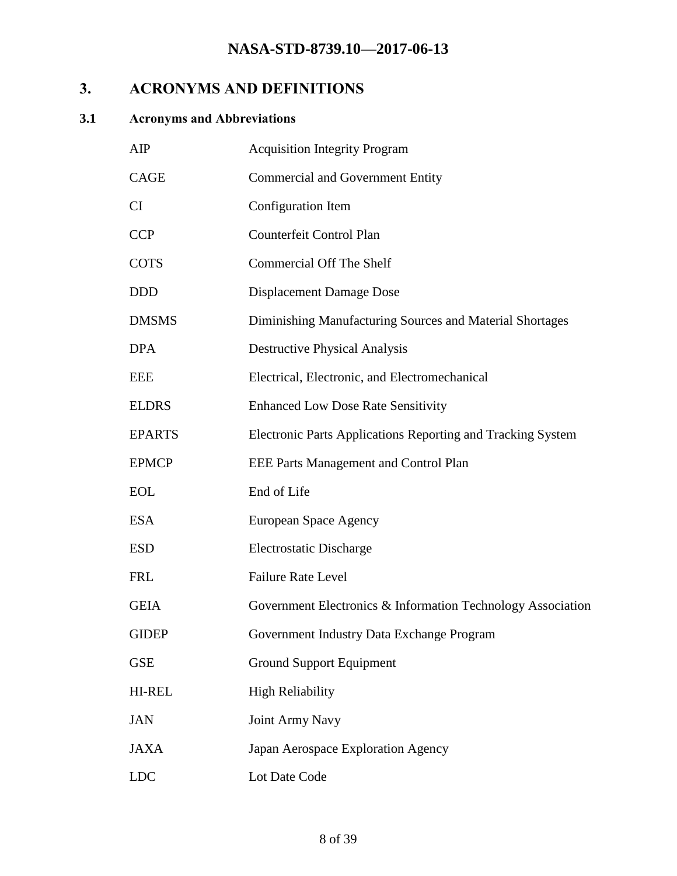# <span id="page-7-0"></span>**3. ACRONYMS AND DEFINITIONS**

# <span id="page-7-1"></span>**3.1 Acronyms and Abbreviations**

| AIP           | <b>Acquisition Integrity Program</b>                        |
|---------------|-------------------------------------------------------------|
| <b>CAGE</b>   | <b>Commercial and Government Entity</b>                     |
| <b>CI</b>     | Configuration Item                                          |
| <b>CCP</b>    | Counterfeit Control Plan                                    |
| <b>COTS</b>   | <b>Commercial Off The Shelf</b>                             |
| <b>DDD</b>    | Displacement Damage Dose                                    |
| <b>DMSMS</b>  | Diminishing Manufacturing Sources and Material Shortages    |
| <b>DPA</b>    | <b>Destructive Physical Analysis</b>                        |
| <b>EEE</b>    | Electrical, Electronic, and Electromechanical               |
| <b>ELDRS</b>  | <b>Enhanced Low Dose Rate Sensitivity</b>                   |
| <b>EPARTS</b> | Electronic Parts Applications Reporting and Tracking System |
| <b>EPMCP</b>  | EEE Parts Management and Control Plan                       |
| <b>EOL</b>    | End of Life                                                 |
| <b>ESA</b>    | European Space Agency                                       |
| <b>ESD</b>    | <b>Electrostatic Discharge</b>                              |
| <b>FRL</b>    | <b>Failure Rate Level</b>                                   |
| <b>GEIA</b>   | Government Electronics & Information Technology Association |
| <b>GIDEP</b>  | Government Industry Data Exchange Program                   |
| <b>GSE</b>    | <b>Ground Support Equipment</b>                             |
| <b>HI-REL</b> | <b>High Reliability</b>                                     |
| <b>JAN</b>    | <b>Joint Army Navy</b>                                      |
| <b>JAXA</b>   | Japan Aerospace Exploration Agency                          |
| <b>LDC</b>    | Lot Date Code                                               |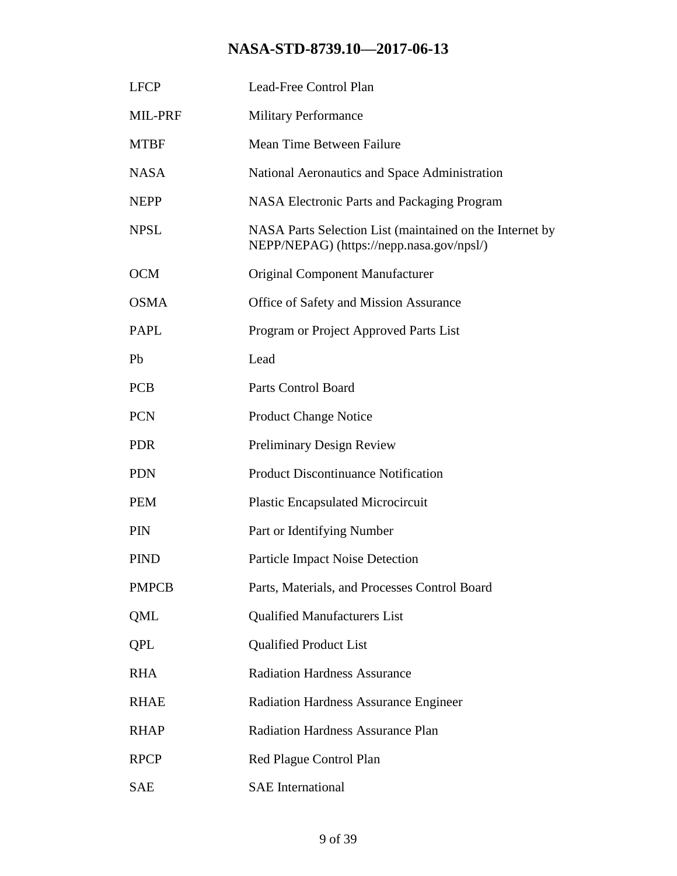| <b>LFCP</b>  | Lead-Free Control Plan                                                                                |
|--------------|-------------------------------------------------------------------------------------------------------|
| MIL-PRF      | <b>Military Performance</b>                                                                           |
| <b>MTBF</b>  | Mean Time Between Failure                                                                             |
| <b>NASA</b>  | National Aeronautics and Space Administration                                                         |
| <b>NEPP</b>  | <b>NASA Electronic Parts and Packaging Program</b>                                                    |
| <b>NPSL</b>  | NASA Parts Selection List (maintained on the Internet by<br>NEPP/NEPAG) (https://nepp.nasa.gov/npsl/) |
| <b>OCM</b>   | <b>Original Component Manufacturer</b>                                                                |
| <b>OSMA</b>  | Office of Safety and Mission Assurance                                                                |
| <b>PAPL</b>  | Program or Project Approved Parts List                                                                |
| Pb           | Lead                                                                                                  |
| <b>PCB</b>   | <b>Parts Control Board</b>                                                                            |
| <b>PCN</b>   | <b>Product Change Notice</b>                                                                          |
| <b>PDR</b>   | Preliminary Design Review                                                                             |
| <b>PDN</b>   | <b>Product Discontinuance Notification</b>                                                            |
| <b>PEM</b>   | <b>Plastic Encapsulated Microcircuit</b>                                                              |
| <b>PIN</b>   | Part or Identifying Number                                                                            |
| <b>PIND</b>  | <b>Particle Impact Noise Detection</b>                                                                |
| <b>PMPCB</b> | Parts, Materials, and Processes Control Board                                                         |
| QML          | <b>Qualified Manufacturers List</b>                                                                   |
| QPL          | <b>Qualified Product List</b>                                                                         |
| <b>RHA</b>   | <b>Radiation Hardness Assurance</b>                                                                   |
| <b>RHAE</b>  | <b>Radiation Hardness Assurance Engineer</b>                                                          |
| <b>RHAP</b>  | <b>Radiation Hardness Assurance Plan</b>                                                              |
| <b>RPCP</b>  | Red Plague Control Plan                                                                               |
| <b>SAE</b>   | <b>SAE</b> International                                                                              |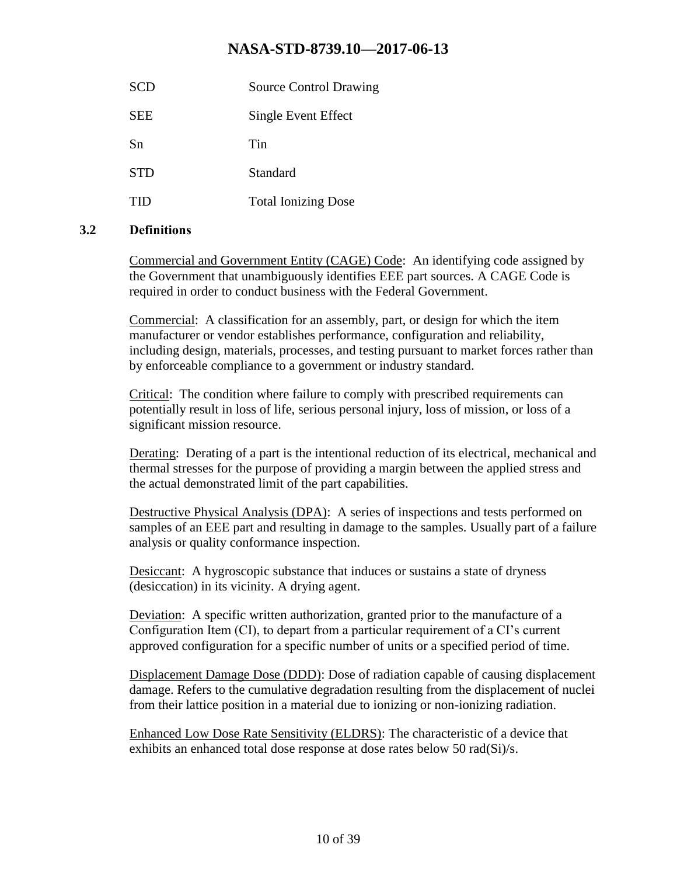| SCD        | <b>Source Control Drawing</b> |
|------------|-------------------------------|
| <b>SEE</b> | Single Event Effect           |
| Sn         | Tin                           |
| <b>STD</b> | Standard                      |
| тнэ        | <b>Total Ionizing Dose</b>    |

#### <span id="page-9-0"></span>**3.2 Definitions**

Commercial and Government Entity (CAGE) Code: An identifying code assigned by the Government that unambiguously identifies EEE part sources. A CAGE Code is required in order to conduct business with the Federal Government.

Commercial: A classification for an assembly, part, or design for which the item manufacturer or vendor establishes performance, configuration and reliability, including design, materials, processes, and testing pursuant to market forces rather than by enforceable compliance to a government or industry standard.

Critical: The condition where failure to comply with prescribed requirements can potentially result in loss of life, serious personal injury, loss of mission, or loss of a significant mission resource.

Derating: Derating of a part is the intentional reduction of its electrical, mechanical and thermal stresses for the purpose of providing a margin between the applied stress and the actual demonstrated limit of the part capabilities.

Destructive Physical Analysis (DPA): A series of inspections and tests performed on samples of an EEE part and resulting in damage to the samples. Usually part of a failure analysis or quality conformance inspection.

Desiccant: A hygroscopic substance that induces or sustains a state of dryness (desiccation) in its vicinity. A drying agent.

Deviation: A specific written authorization, granted prior to the manufacture of a Configuration Item (CI), to depart from a particular requirement of a CI's current approved configuration for a specific number of units or a specified period of time.

Displacement Damage Dose (DDD): Dose of radiation capable of causing displacement damage. Refers to the cumulative degradation resulting from the displacement of nuclei from their lattice position in a material due to ionizing or non-ionizing radiation.

Enhanced Low Dose Rate Sensitivity (ELDRS): The characteristic of a device that exhibits an enhanced total dose response at dose rates below 50 rad(Si)/s.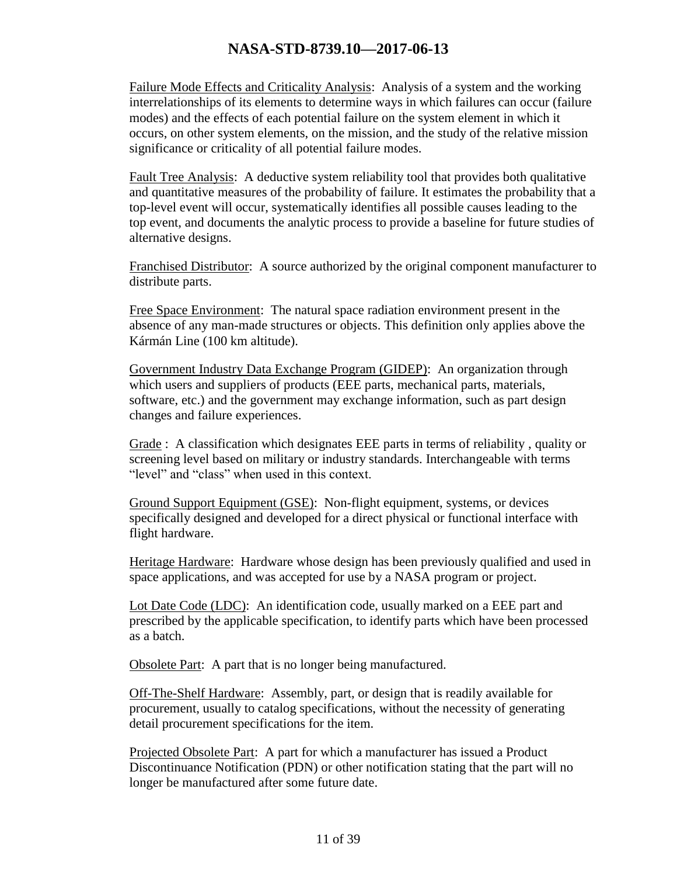Failure Mode Effects and Criticality Analysis: Analysis of a system and the working interrelationships of its elements to determine ways in which failures can occur (failure modes) and the effects of each potential failure on the system element in which it occurs, on other system elements, on the mission, and the study of the relative mission significance or criticality of all potential failure modes.

Fault Tree Analysis: A deductive system reliability tool that provides both qualitative and quantitative measures of the probability of failure. It estimates the probability that a top-level event will occur, systematically identifies all possible causes leading to the top event, and documents the analytic process to provide a baseline for future studies of alternative designs.

Franchised Distributor: A source authorized by the original component manufacturer to distribute parts.

Free Space Environment: The natural space radiation environment present in the absence of any man-made structures or objects. This definition only applies above the Kármán Line (100 km altitude).

Government Industry Data Exchange Program (GIDEP): An organization through which users and suppliers of products (EEE parts, mechanical parts, materials, software, etc.) and the government may exchange information, such as part design changes and failure experiences.

Grade : A classification which designates EEE parts in terms of reliability , quality or screening level based on military or industry standards. Interchangeable with terms "level" and "class" when used in this context.

Ground Support Equipment (GSE): Non-flight equipment, systems, or devices specifically designed and developed for a direct physical or functional interface with flight hardware.

Heritage Hardware: Hardware whose design has been previously qualified and used in space applications, and was accepted for use by a NASA program or project.

Lot Date Code (LDC): An identification code, usually marked on a EEE part and prescribed by the applicable specification, to identify parts which have been processed as a batch.

Obsolete Part: A part that is no longer being manufactured.

Off-The-Shelf Hardware: Assembly, part, or design that is readily available for procurement, usually to catalog specifications, without the necessity of generating detail procurement specifications for the item.

Projected Obsolete Part: A part for which a manufacturer has issued a Product Discontinuance Notification (PDN) or other notification stating that the part will no longer be manufactured after some future date.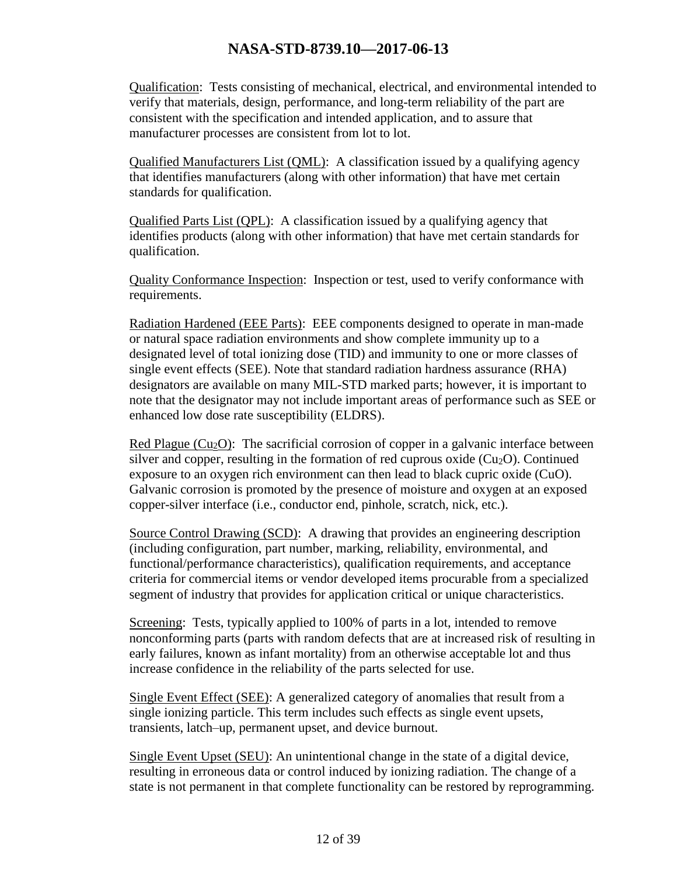Qualification: Tests consisting of mechanical, electrical, and environmental intended to verify that materials, design, performance, and long-term reliability of the part are consistent with the specification and intended application, and to assure that manufacturer processes are consistent from lot to lot.

Qualified Manufacturers List (QML): A classification issued by a qualifying agency that identifies manufacturers (along with other information) that have met certain standards for qualification.

Qualified Parts List (QPL): A classification issued by a qualifying agency that identifies products (along with other information) that have met certain standards for qualification.

Quality Conformance Inspection: Inspection or test, used to verify conformance with requirements.

Radiation Hardened (EEE Parts): EEE components designed to operate in man-made or natural space radiation environments and show complete immunity up to a designated level of total ionizing dose (TID) and immunity to one or more classes of single event effects (SEE). Note that standard radiation hardness assurance (RHA) designators are available on many MIL-STD marked parts; however, it is important to note that the designator may not include important areas of performance such as SEE or enhanced low dose rate susceptibility (ELDRS).

Red Plague ( $Cu<sub>2</sub>O$ ): The sacrificial corrosion of copper in a galvanic interface between silver and copper, resulting in the formation of red cuprous oxide  $(Cu_2O)$ . Continued exposure to an oxygen rich environment can then lead to black cupric oxide (CuO). Galvanic corrosion is promoted by the presence of moisture and oxygen at an exposed copper-silver interface (i.e., conductor end, pinhole, scratch, nick, etc.).

Source Control Drawing (SCD): A drawing that provides an engineering description (including configuration, part number, marking, reliability, environmental, and functional/performance characteristics), qualification requirements, and acceptance criteria for commercial items or vendor developed items procurable from a specialized segment of industry that provides for application critical or unique characteristics.

Screening: Tests, typically applied to 100% of parts in a lot, intended to remove nonconforming parts (parts with random defects that are at increased risk of resulting in early failures, known as infant mortality) from an otherwise acceptable lot and thus increase confidence in the reliability of the parts selected for use.

Single Event Effect (SEE): A generalized category of anomalies that result from a single ionizing particle. This term includes such effects as single event upsets, transients, latch–up, permanent upset, and device burnout.

Single Event Upset (SEU): An unintentional change in the state of a digital device, resulting in erroneous data or control induced by ionizing radiation. The change of a state is not permanent in that complete functionality can be restored by reprogramming.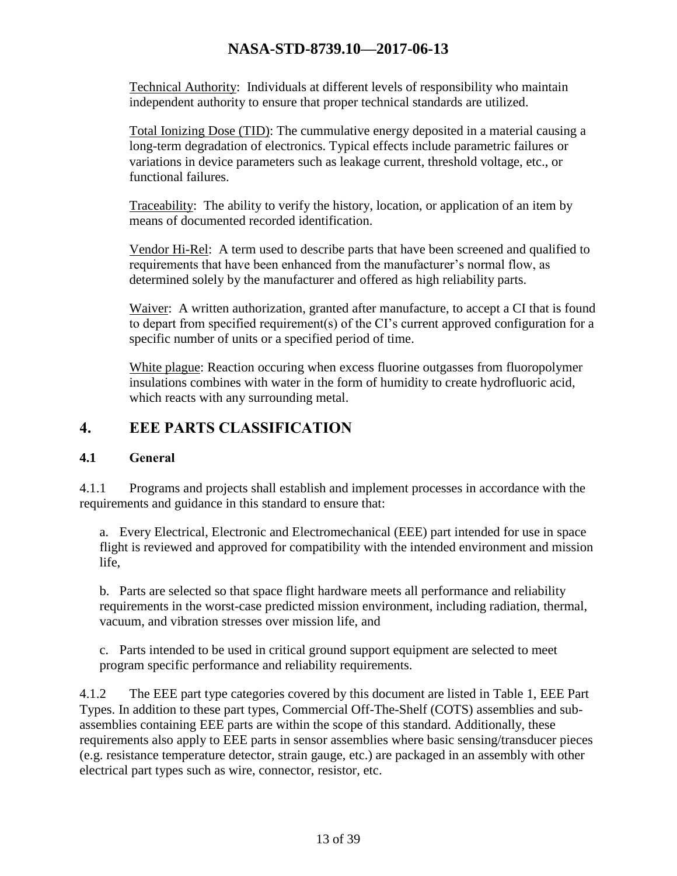Technical Authority: Individuals at different levels of responsibility who maintain independent authority to ensure that proper technical standards are utilized.

Total Ionizing Dose (TID): The cummulative energy deposited in a material causing a long-term degradation of electronics. Typical effects include parametric failures or variations in device parameters such as leakage current, threshold voltage, etc., or functional failures.

Traceability: The ability to verify the history, location, or application of an item by means of documented recorded identification.

Vendor Hi-Rel: A term used to describe parts that have been screened and qualified to requirements that have been enhanced from the manufacturer's normal flow, as determined solely by the manufacturer and offered as high reliability parts.

Waiver: A written authorization, granted after manufacture, to accept a CI that is found to depart from specified requirement(s) of the CI's current approved configuration for a specific number of units or a specified period of time.

White plague: Reaction occuring when excess fluorine outgasses from fluoropolymer insulations combines with water in the form of humidity to create hydrofluoric acid, which reacts with any surrounding metal.

# <span id="page-12-0"></span>**4. EEE PARTS CLASSIFICATION**

#### <span id="page-12-1"></span>**4.1 General**

4.1.1 Programs and projects shall establish and implement processes in accordance with the requirements and guidance in this standard to ensure that:

a. Every Electrical, Electronic and Electromechanical (EEE) part intended for use in space flight is reviewed and approved for compatibility with the intended environment and mission life,

b. Parts are selected so that space flight hardware meets all performance and reliability requirements in the worst-case predicted mission environment, including radiation, thermal, vacuum, and vibration stresses over mission life, and

c. Parts intended to be used in critical ground support equipment are selected to meet program specific performance and reliability requirements.

4.1.2 The EEE part type categories covered by this document are listed in Table 1, EEE Part Types. In addition to these part types, Commercial Off-The-Shelf (COTS) assemblies and subassemblies containing EEE parts are within the scope of this standard. Additionally, these requirements also apply to EEE parts in sensor assemblies where basic sensing/transducer pieces (e.g. resistance temperature detector, strain gauge, etc.) are packaged in an assembly with other electrical part types such as wire, connector, resistor, etc.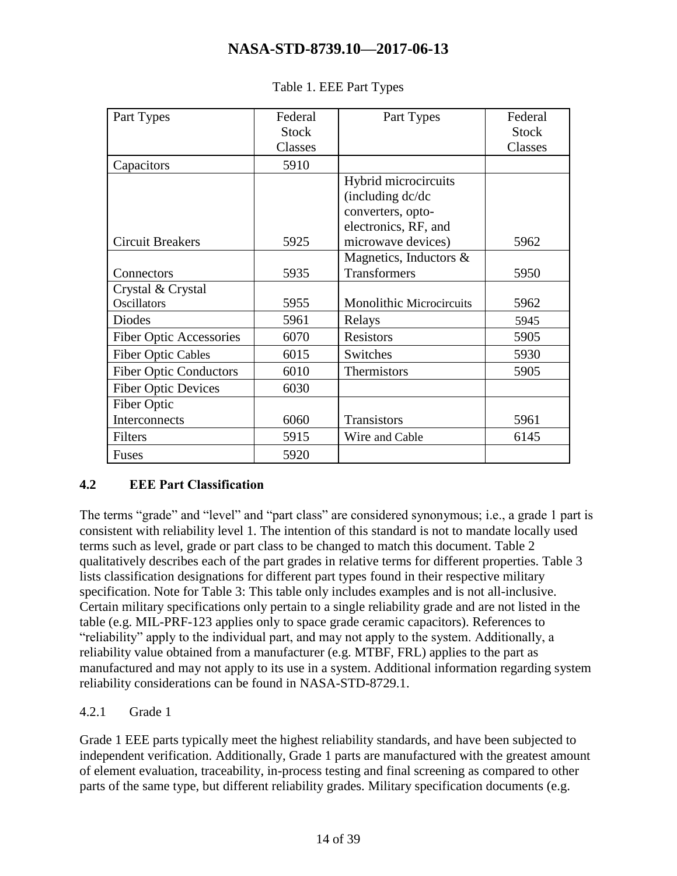<span id="page-13-1"></span>

| Part Types                     | Federal      | Part Types                      | Federal      |
|--------------------------------|--------------|---------------------------------|--------------|
|                                | <b>Stock</b> |                                 | <b>Stock</b> |
|                                | Classes      |                                 | Classes      |
| Capacitors                     | 5910         |                                 |              |
|                                |              | Hybrid microcircuits            |              |
|                                |              | (including dc/dc                |              |
|                                |              | converters, opto-               |              |
|                                |              | electronics, RF, and            |              |
| <b>Circuit Breakers</b>        | 5925         | microwave devices)              | 5962         |
|                                |              | Magnetics, Inductors &          |              |
| Connectors                     | 5935         | <b>Transformers</b>             | 5950         |
| Crystal & Crystal              |              |                                 |              |
| <b>Oscillators</b>             | 5955         | <b>Monolithic Microcircuits</b> | 5962         |
| <b>Diodes</b>                  | 5961         | Relays                          | 5945         |
| <b>Fiber Optic Accessories</b> | 6070         | <b>Resistors</b>                | 5905         |
| <b>Fiber Optic Cables</b>      | 6015         | Switches                        | 5930         |
| <b>Fiber Optic Conductors</b>  | 6010         | Thermistors                     | 5905         |
| <b>Fiber Optic Devices</b>     | 6030         |                                 |              |
| Fiber Optic                    |              |                                 |              |
| Interconnects                  | 6060         | Transistors                     | 5961         |
| Filters                        | 5915         | Wire and Cable                  | 6145         |
| <b>Fuses</b>                   | 5920         |                                 |              |

#### Table 1. EEE Part Types

#### <span id="page-13-0"></span>**4.2 EEE Part Classification**

The terms "grade" and "level" and "part class" are considered synonymous; i.e., a grade 1 part is consistent with reliability level 1. The intention of this standard is not to mandate locally used terms such as level, grade or part class to be changed to match this document. Table 2 qualitatively describes each of the part grades in relative terms for different properties. Table 3 lists classification designations for different part types found in their respective military specification. Note for Table 3: This table only includes examples and is not all-inclusive. Certain military specifications only pertain to a single reliability grade and are not listed in the table (e.g. MIL-PRF-123 applies only to space grade ceramic capacitors). References to "reliability" apply to the individual part, and may not apply to the system. Additionally, a reliability value obtained from a manufacturer (e.g. MTBF, FRL) applies to the part as manufactured and may not apply to its use in a system. Additional information regarding system reliability considerations can be found in NASA-STD-8729.1.

#### 4.2.1 Grade 1

Grade 1 EEE parts typically meet the highest reliability standards, and have been subjected to independent verification. Additionally, Grade 1 parts are manufactured with the greatest amount of element evaluation, traceability, in-process testing and final screening as compared to other parts of the same type, but different reliability grades. Military specification documents (e.g.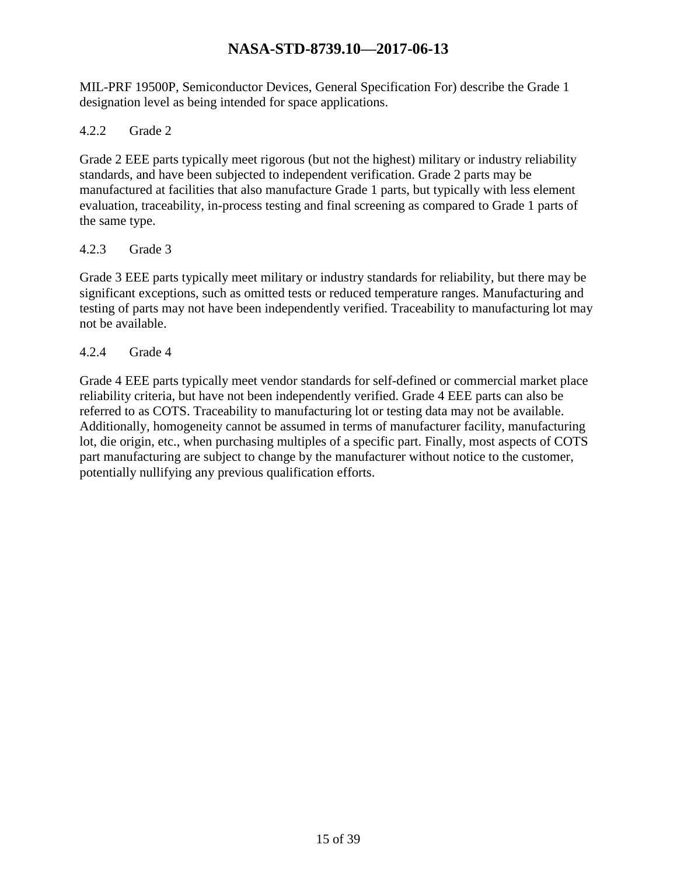MIL-PRF 19500P, Semiconductor Devices, General Specification For) describe the Grade 1 designation level as being intended for space applications.

#### 4.2.2 Grade 2

Grade 2 EEE parts typically meet rigorous (but not the highest) military or industry reliability standards, and have been subjected to independent verification. Grade 2 parts may be manufactured at facilities that also manufacture Grade 1 parts, but typically with less element evaluation, traceability, in-process testing and final screening as compared to Grade 1 parts of the same type.

#### 4.2.3 Grade 3

Grade 3 EEE parts typically meet military or industry standards for reliability, but there may be significant exceptions, such as omitted tests or reduced temperature ranges. Manufacturing and testing of parts may not have been independently verified. Traceability to manufacturing lot may not be available.

#### 4.2.4 Grade 4

Grade 4 EEE parts typically meet vendor standards for self-defined or commercial market place reliability criteria, but have not been independently verified. Grade 4 EEE parts can also be referred to as COTS. Traceability to manufacturing lot or testing data may not be available. Additionally, homogeneity cannot be assumed in terms of manufacturer facility, manufacturing lot, die origin, etc., when purchasing multiples of a specific part. Finally, most aspects of COTS part manufacturing are subject to change by the manufacturer without notice to the customer, potentially nullifying any previous qualification efforts.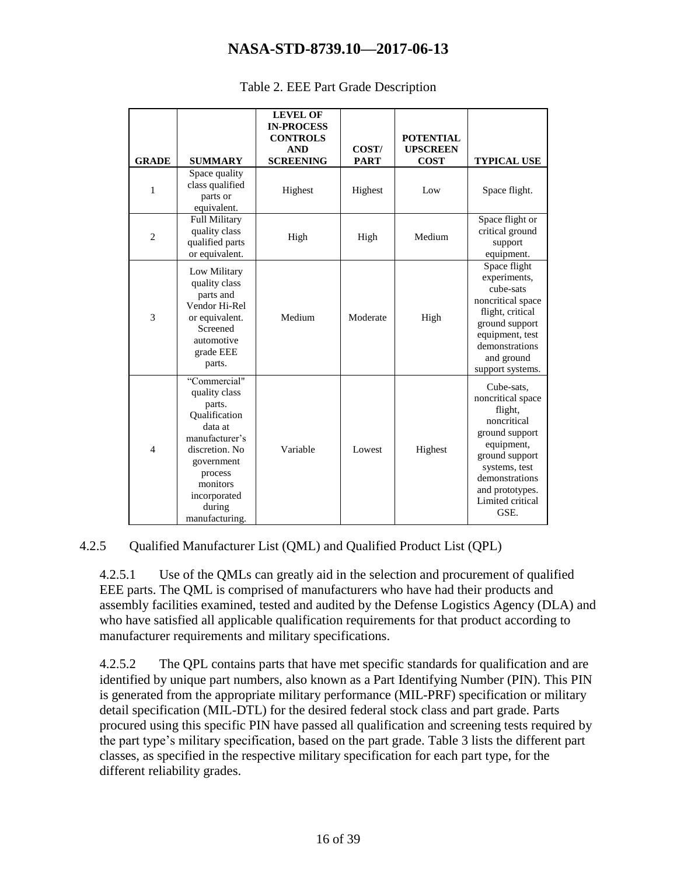<span id="page-15-0"></span>

| <b>GRADE</b>   | <b>SUMMARY</b>                                                                                                                                                                           | <b>LEVEL OF</b><br><b>IN-PROCESS</b><br><b>CONTROLS</b><br><b>AND</b><br><b>SCREENING</b> | COST/<br><b>PART</b> | <b>POTENTIAL</b><br><b>UPSCREEN</b><br><b>COST</b> | <b>TYPICAL USE</b>                                                                                                                                                                            |
|----------------|------------------------------------------------------------------------------------------------------------------------------------------------------------------------------------------|-------------------------------------------------------------------------------------------|----------------------|----------------------------------------------------|-----------------------------------------------------------------------------------------------------------------------------------------------------------------------------------------------|
| $\mathbf{1}$   | Space quality<br>class qualified<br>parts or<br>equivalent.                                                                                                                              | Highest                                                                                   | Highest              | Low                                                | Space flight.                                                                                                                                                                                 |
| $\overline{2}$ | <b>Full Military</b><br>quality class<br>qualified parts<br>or equivalent.                                                                                                               | High                                                                                      | High                 | Medium                                             | Space flight or<br>critical ground<br>support<br>equipment.                                                                                                                                   |
| 3              | Low Military<br>quality class<br>parts and<br>Vendor Hi-Rel<br>or equivalent.<br>Screened<br>automotive<br>grade EEE<br>parts.                                                           | Medium                                                                                    | Moderate             | High                                               | Space flight<br>experiments,<br>cube-sats<br>noncritical space<br>flight, critical<br>ground support<br>equipment, test<br>demonstrations<br>and ground<br>support systems.                   |
| $\overline{4}$ | "Commercial"<br>quality class<br>parts.<br>Oualification<br>data at<br>manufacturer's<br>discretion. No<br>government<br>process<br>monitors<br>incorporated<br>during<br>manufacturing. | Variable                                                                                  | Lowest               | Highest                                            | Cube-sats,<br>noncritical space<br>flight,<br>noncritical<br>ground support<br>equipment,<br>ground support<br>systems, test<br>demonstrations<br>and prototypes.<br>Limited critical<br>GSE. |

#### Table 2. EEE Part Grade Description

#### 4.2.5 Qualified Manufacturer List (QML) and Qualified Product List (QPL)

4.2.5.1 Use of the QMLs can greatly aid in the selection and procurement of qualified EEE parts. The QML is comprised of manufacturers who have had their products and assembly facilities examined, tested and audited by the Defense Logistics Agency (DLA) and who have satisfied all applicable qualification requirements for that product according to manufacturer requirements and military specifications.

4.2.5.2 The QPL contains parts that have met specific standards for qualification and are identified by unique part numbers, also known as a Part Identifying Number (PIN). This PIN is generated from the appropriate military performance (MIL-PRF) specification or military detail specification (MIL-DTL) for the desired federal stock class and part grade. Parts procured using this specific PIN have passed all qualification and screening tests required by the part type's military specification, based on the part grade. Table 3 lists the different part classes, as specified in the respective military specification for each part type, for the different reliability grades.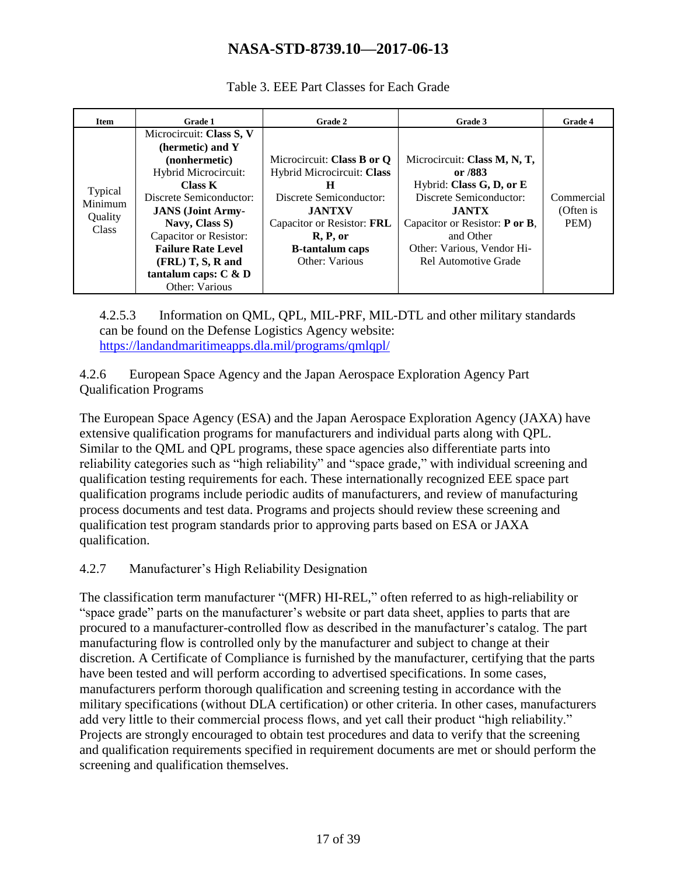<span id="page-16-0"></span>

| Item                                          | <b>Grade 1</b>            | Grade 2                    | Grade 3                        | Grade 4    |
|-----------------------------------------------|---------------------------|----------------------------|--------------------------------|------------|
| Typical<br>Minimum<br>Quality<br><b>Class</b> | Microcircuit: Class S, V  |                            |                                |            |
|                                               | (hermetic) and Y          |                            |                                |            |
|                                               | (nonhermetic)             | Microcircuit: Class B or O | Microcircuit: Class M, N, T,   |            |
|                                               | Hybrid Microcircuit:      | Hybrid Microcircuit: Class | or /883                        |            |
|                                               | Class K                   | H                          | Hybrid: Class G, D, or E       |            |
|                                               | Discrete Semiconductor:   | Discrete Semiconductor:    | Discrete Semiconductor:        | Commercial |
|                                               | <b>JANS</b> (Joint Army-  | <b>JANTXV</b>              | <b>JANTX</b>                   | (Often is  |
|                                               | Navy, Class S)            | Capacitor or Resistor: FRL | Capacitor or Resistor: P or B, | PEM)       |
|                                               | Capacitor or Resistor:    | R, P, or                   | and Other                      |            |
|                                               | <b>Failure Rate Level</b> | <b>B</b> -tantalum caps    | Other: Various, Vendor Hi-     |            |
|                                               | $(FRL)$ T, S, R and       | Other: Various             | Rel Automotive Grade           |            |
|                                               | tantalum caps: $C & D$    |                            |                                |            |
|                                               | Other: Various            |                            |                                |            |

Table 3. EEE Part Classes for Each Grade

4.2.5.3 Information on QML, QPL, MIL-PRF, MIL-DTL and other military standards can be found on the Defense Logistics Agency website: <https://landandmaritimeapps.dla.mil/programs/qmlqpl/>

4.2.6 European Space Agency and the Japan Aerospace Exploration Agency Part Qualification Programs

The European Space Agency (ESA) and the Japan Aerospace Exploration Agency (JAXA) have extensive qualification programs for manufacturers and individual parts along with QPL. Similar to the QML and QPL programs, these space agencies also differentiate parts into reliability categories such as "high reliability" and "space grade," with individual screening and qualification testing requirements for each. These internationally recognized EEE space part qualification programs include periodic audits of manufacturers, and review of manufacturing process documents and test data. Programs and projects should review these screening and qualification test program standards prior to approving parts based on ESA or JAXA qualification.

#### 4.2.7 Manufacturer's High Reliability Designation

The classification term manufacturer "(MFR) HI-REL," often referred to as high-reliability or "space grade" parts on the manufacturer's website or part data sheet, applies to parts that are procured to a manufacturer-controlled flow as described in the manufacturer's catalog. The part manufacturing flow is controlled only by the manufacturer and subject to change at their discretion. A Certificate of Compliance is furnished by the manufacturer, certifying that the parts have been tested and will perform according to advertised specifications. In some cases, manufacturers perform thorough qualification and screening testing in accordance with the military specifications (without DLA certification) or other criteria. In other cases, manufacturers add very little to their commercial process flows, and yet call their product "high reliability." Projects are strongly encouraged to obtain test procedures and data to verify that the screening and qualification requirements specified in requirement documents are met or should perform the screening and qualification themselves.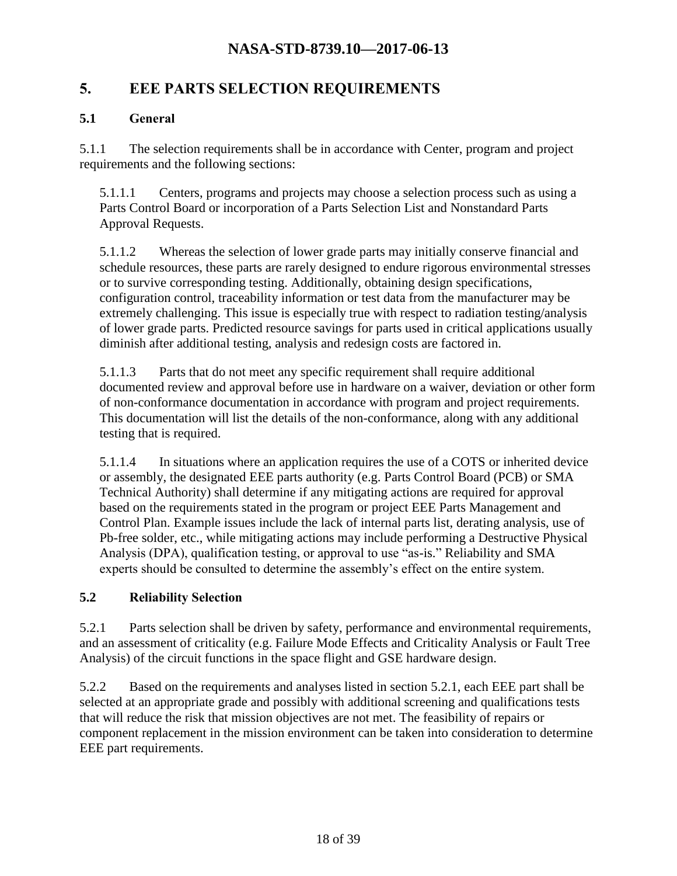# <span id="page-17-0"></span>**5. EEE PARTS SELECTION REQUIREMENTS**

#### <span id="page-17-1"></span>**5.1 General**

5.1.1 The selection requirements shall be in accordance with Center, program and project requirements and the following sections:

5.1.1.1 Centers, programs and projects may choose a selection process such as using a Parts Control Board or incorporation of a Parts Selection List and Nonstandard Parts Approval Requests.

5.1.1.2 Whereas the selection of lower grade parts may initially conserve financial and schedule resources, these parts are rarely designed to endure rigorous environmental stresses or to survive corresponding testing. Additionally, obtaining design specifications, configuration control, traceability information or test data from the manufacturer may be extremely challenging. This issue is especially true with respect to radiation testing/analysis of lower grade parts. Predicted resource savings for parts used in critical applications usually diminish after additional testing, analysis and redesign costs are factored in.

5.1.1.3 Parts that do not meet any specific requirement shall require additional documented review and approval before use in hardware on a waiver, deviation or other form of non-conformance documentation in accordance with program and project requirements. This documentation will list the details of the non-conformance, along with any additional testing that is required.

5.1.1.4 In situations where an application requires the use of a COTS or inherited device or assembly, the designated EEE parts authority (e.g. Parts Control Board (PCB) or SMA Technical Authority) shall determine if any mitigating actions are required for approval based on the requirements stated in the program or project EEE Parts Management and Control Plan. Example issues include the lack of internal parts list, derating analysis, use of Pb-free solder, etc., while mitigating actions may include performing a Destructive Physical Analysis (DPA), qualification testing, or approval to use "as-is." Reliability and SMA experts should be consulted to determine the assembly's effect on the entire system.

#### <span id="page-17-2"></span>**5.2 Reliability Selection**

5.2.1 Parts selection shall be driven by safety, performance and environmental requirements, and an assessment of criticality (e.g. Failure Mode Effects and Criticality Analysis or Fault Tree Analysis) of the circuit functions in the space flight and GSE hardware design.

5.2.2 Based on the requirements and analyses listed in section 5.2.1, each EEE part shall be selected at an appropriate grade and possibly with additional screening and qualifications tests that will reduce the risk that mission objectives are not met. The feasibility of repairs or component replacement in the mission environment can be taken into consideration to determine EEE part requirements.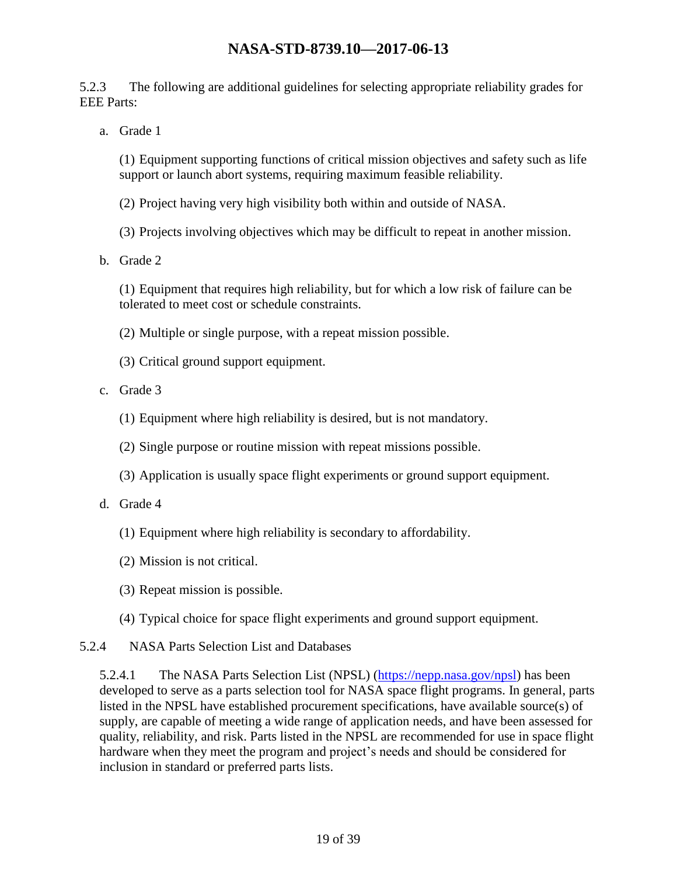5.2.3 The following are additional guidelines for selecting appropriate reliability grades for EEE Parts:

a. Grade 1

(1) Equipment supporting functions of critical mission objectives and safety such as life support or launch abort systems, requiring maximum feasible reliability.

(2) Project having very high visibility both within and outside of NASA.

(3) Projects involving objectives which may be difficult to repeat in another mission.

b. Grade 2

(1) Equipment that requires high reliability, but for which a low risk of failure can be tolerated to meet cost or schedule constraints.

- (2) Multiple or single purpose, with a repeat mission possible.
- (3) Critical ground support equipment.
- c. Grade 3
	- (1) Equipment where high reliability is desired, but is not mandatory.
	- (2) Single purpose or routine mission with repeat missions possible.
	- (3) Application is usually space flight experiments or ground support equipment.
- d. Grade 4
	- (1) Equipment where high reliability is secondary to affordability.
	- (2) Mission is not critical.
	- (3) Repeat mission is possible.
	- (4) Typical choice for space flight experiments and ground support equipment.
- 5.2.4 NASA Parts Selection List and Databases

5.2.4.1 The NASA Parts Selection List (NPSL) [\(https://nepp.nasa.gov/npsl\)](https://nepp.nasa.gov/npsl) has been developed to serve as a parts selection tool for NASA space flight programs. In general, parts listed in the NPSL have established procurement specifications, have available source(s) of supply, are capable of meeting a wide range of application needs, and have been assessed for quality, reliability, and risk. Parts listed in the NPSL are recommended for use in space flight hardware when they meet the program and project's needs and should be considered for inclusion in standard or preferred parts lists.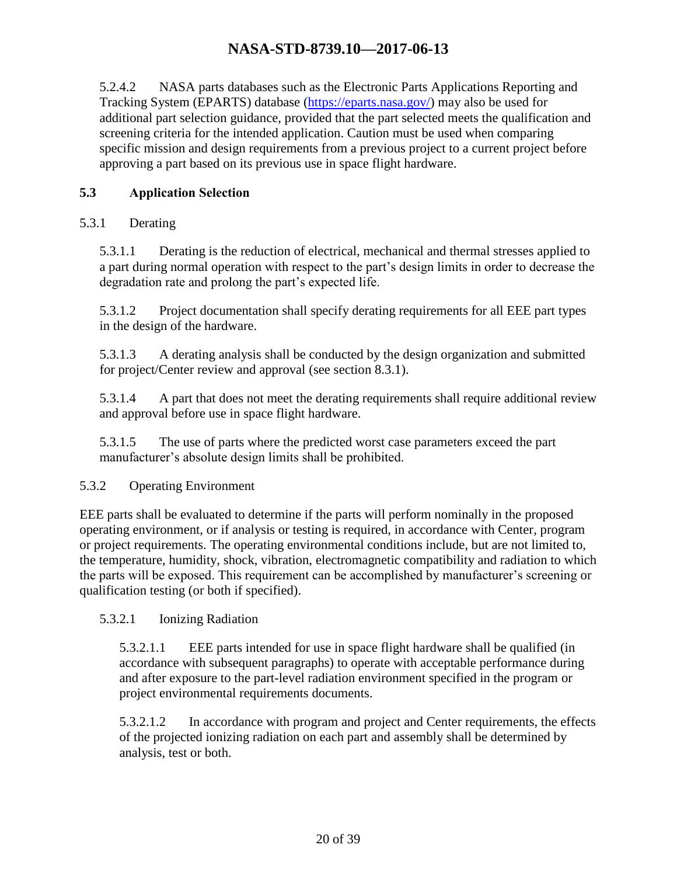5.2.4.2 NASA parts databases such as the Electronic Parts Applications Reporting and Tracking System (EPARTS) database [\(https://eparts.nasa.gov/\)](https://eparts.nasa.gov/) may also be used for additional part selection guidance, provided that the part selected meets the qualification and screening criteria for the intended application. Caution must be used when comparing specific mission and design requirements from a previous project to a current project before approving a part based on its previous use in space flight hardware.

### <span id="page-19-0"></span>**5.3 Application Selection**

#### 5.3.1 Derating

5.3.1.1 Derating is the reduction of electrical, mechanical and thermal stresses applied to a part during normal operation with respect to the part's design limits in order to decrease the degradation rate and prolong the part's expected life.

5.3.1.2 Project documentation shall specify derating requirements for all EEE part types in the design of the hardware.

5.3.1.3 A derating analysis shall be conducted by the design organization and submitted for project/Center review and approval (see section 8.3.1).

5.3.1.4 A part that does not meet the derating requirements shall require additional review and approval before use in space flight hardware.

5.3.1.5 The use of parts where the predicted worst case parameters exceed the part manufacturer's absolute design limits shall be prohibited.

#### 5.3.2 Operating Environment

EEE parts shall be evaluated to determine if the parts will perform nominally in the proposed operating environment, or if analysis or testing is required, in accordance with Center, program or project requirements. The operating environmental conditions include, but are not limited to, the temperature, humidity, shock, vibration, electromagnetic compatibility and radiation to which the parts will be exposed. This requirement can be accomplished by manufacturer's screening or qualification testing (or both if specified).

#### 5.3.2.1 Ionizing Radiation

5.3.2.1.1 EEE parts intended for use in space flight hardware shall be qualified (in accordance with subsequent paragraphs) to operate with acceptable performance during and after exposure to the part-level radiation environment specified in the program or project environmental requirements documents.

5.3.2.1.2 In accordance with program and project and Center requirements, the effects of the projected ionizing radiation on each part and assembly shall be determined by analysis, test or both.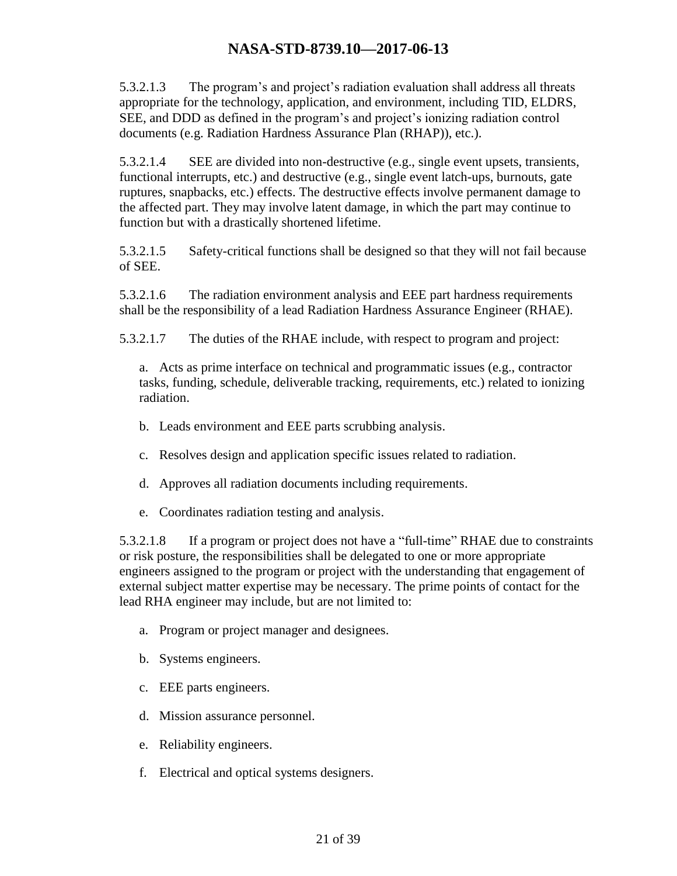5.3.2.1.3 The program's and project's radiation evaluation shall address all threats appropriate for the technology, application, and environment, including TID, ELDRS, SEE, and DDD as defined in the program's and project's ionizing radiation control documents (e.g. Radiation Hardness Assurance Plan (RHAP)), etc.).

5.3.2.1.4 SEE are divided into non-destructive (e.g., single event upsets, transients, functional interrupts, etc.) and destructive (e.g., single event latch-ups, burnouts, gate ruptures, snapbacks, etc.) effects. The destructive effects involve permanent damage to the affected part. They may involve latent damage, in which the part may continue to function but with a drastically shortened lifetime.

5.3.2.1.5 Safety-critical functions shall be designed so that they will not fail because of SEE.

5.3.2.1.6 The radiation environment analysis and EEE part hardness requirements shall be the responsibility of a lead Radiation Hardness Assurance Engineer (RHAE).

5.3.2.1.7 The duties of the RHAE include, with respect to program and project:

a. Acts as prime interface on technical and programmatic issues (e.g., contractor tasks, funding, schedule, deliverable tracking, requirements, etc.) related to ionizing radiation.

- b. Leads environment and EEE parts scrubbing analysis.
- c. Resolves design and application specific issues related to radiation.
- d. Approves all radiation documents including requirements.
- e. Coordinates radiation testing and analysis.

5.3.2.1.8 If a program or project does not have a "full-time" RHAE due to constraints or risk posture, the responsibilities shall be delegated to one or more appropriate engineers assigned to the program or project with the understanding that engagement of external subject matter expertise may be necessary. The prime points of contact for the lead RHA engineer may include, but are not limited to:

- a. Program or project manager and designees.
- b. Systems engineers.
- c. EEE parts engineers.
- d. Mission assurance personnel.
- e. Reliability engineers.
- f. Electrical and optical systems designers.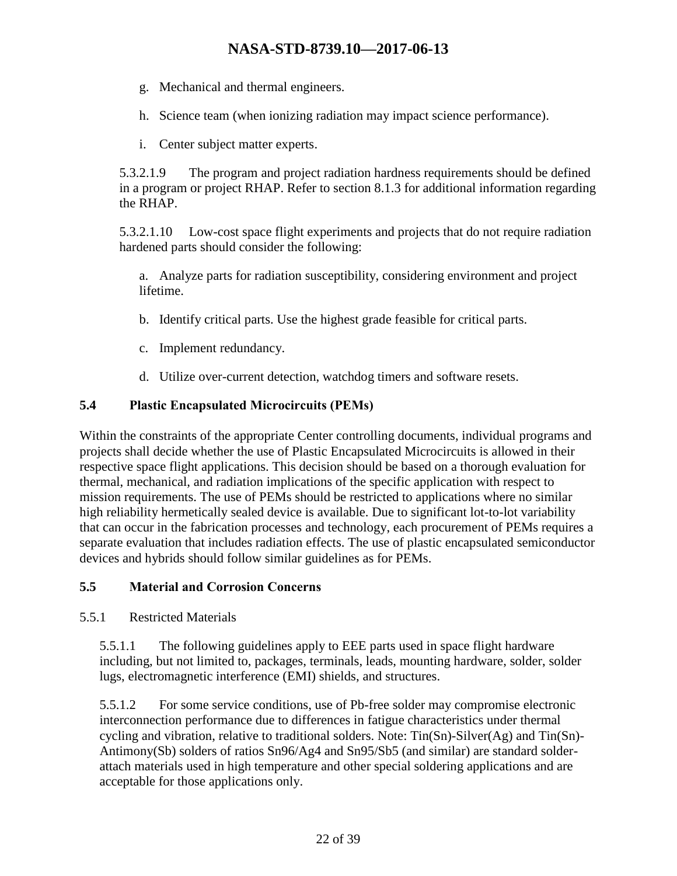- g. Mechanical and thermal engineers.
- h. Science team (when ionizing radiation may impact science performance).
- i. Center subject matter experts.

5.3.2.1.9 The program and project radiation hardness requirements should be defined in a program or project RHAP. Refer to section 8.1.3 for additional information regarding the RHAP.

5.3.2.1.10 Low-cost space flight experiments and projects that do not require radiation hardened parts should consider the following:

a. Analyze parts for radiation susceptibility, considering environment and project lifetime.

- b. Identify critical parts. Use the highest grade feasible for critical parts.
- c. Implement redundancy.
- d. Utilize over-current detection, watchdog timers and software resets.

#### <span id="page-21-0"></span>**5.4 Plastic Encapsulated Microcircuits (PEMs)**

Within the constraints of the appropriate Center controlling documents, individual programs and projects shall decide whether the use of Plastic Encapsulated Microcircuits is allowed in their respective space flight applications. This decision should be based on a thorough evaluation for thermal, mechanical, and radiation implications of the specific application with respect to mission requirements. The use of PEMs should be restricted to applications where no similar high reliability hermetically sealed device is available. Due to significant lot-to-lot variability that can occur in the fabrication processes and technology, each procurement of PEMs requires a separate evaluation that includes radiation effects. The use of plastic encapsulated semiconductor devices and hybrids should follow similar guidelines as for PEMs.

#### <span id="page-21-1"></span>**5.5 Material and Corrosion Concerns**

5.5.1 Restricted Materials

5.5.1.1 The following guidelines apply to EEE parts used in space flight hardware including, but not limited to, packages, terminals, leads, mounting hardware, solder, solder lugs, electromagnetic interference (EMI) shields, and structures.

5.5.1.2 For some service conditions, use of Pb-free solder may compromise electronic interconnection performance due to differences in fatigue characteristics under thermal cycling and vibration, relative to traditional solders. Note: Tin(Sn)-Silver(Ag) and Tin(Sn)- Antimony(Sb) solders of ratios Sn96/Ag4 and Sn95/Sb5 (and similar) are standard solderattach materials used in high temperature and other special soldering applications and are acceptable for those applications only.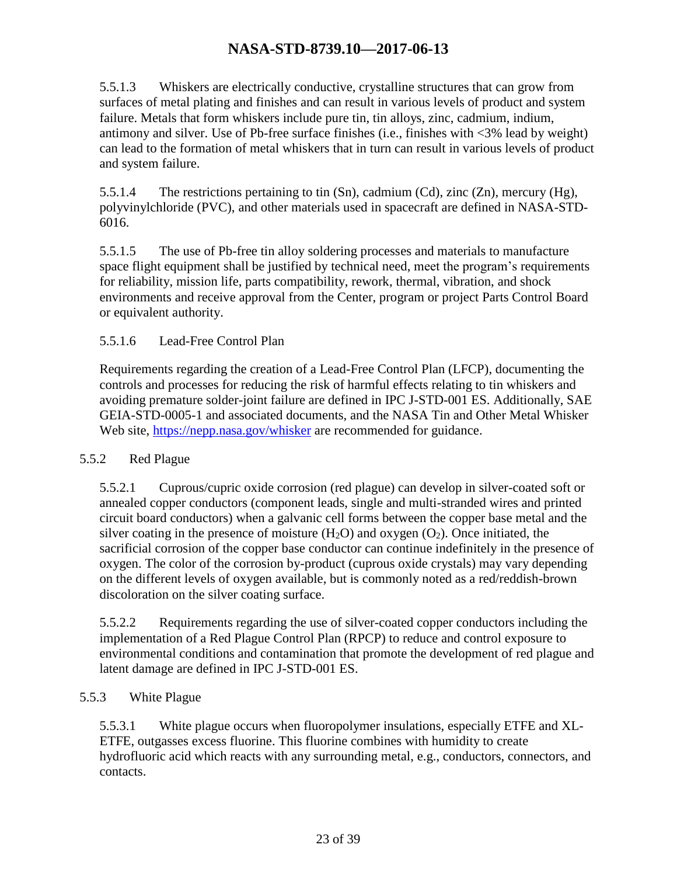5.5.1.3 Whiskers are electrically conductive, crystalline structures that can grow from surfaces of metal plating and finishes and can result in various levels of product and system failure. Metals that form whiskers include pure tin, tin alloys, zinc, cadmium, indium, antimony and silver. Use of Pb-free surface finishes (i.e., finishes with <3% lead by weight) can lead to the formation of metal whiskers that in turn can result in various levels of product and system failure.

5.5.1.4 The restrictions pertaining to tin  $(Sn)$ , cadmium  $(Cd)$ , zinc  $(Zn)$ , mercury  $(Hg)$ , polyvinylchloride (PVC), and other materials used in spacecraft are defined in NASA-STD-6016.

5.5.1.5 The use of Pb-free tin alloy soldering processes and materials to manufacture space flight equipment shall be justified by technical need, meet the program's requirements for reliability, mission life, parts compatibility, rework, thermal, vibration, and shock environments and receive approval from the Center, program or project Parts Control Board or equivalent authority.

### 5.5.1.6 Lead-Free Control Plan

Requirements regarding the creation of a Lead-Free Control Plan (LFCP), documenting the controls and processes for reducing the risk of harmful effects relating to tin whiskers and avoiding premature solder-joint failure are defined in IPC J-STD-001 ES. Additionally, SAE GEIA-STD-0005-1 and associated documents, and the NASA Tin and Other Metal Whisker Web site,<https://nepp.nasa.gov/whisker> are recommended for guidance.

#### 5.5.2 Red Plague

5.5.2.1 Cuprous/cupric oxide corrosion (red plague) can develop in silver-coated soft or annealed copper conductors (component leads, single and multi-stranded wires and printed circuit board conductors) when a galvanic cell forms between the copper base metal and the silver coating in the presence of moisture  $(H_2O)$  and oxygen  $(O_2)$ . Once initiated, the sacrificial corrosion of the copper base conductor can continue indefinitely in the presence of oxygen. The color of the corrosion by-product (cuprous oxide crystals) may vary depending on the different levels of oxygen available, but is commonly noted as a red/reddish-brown discoloration on the silver coating surface.

5.5.2.2 Requirements regarding the use of silver-coated copper conductors including the implementation of a Red Plague Control Plan (RPCP) to reduce and control exposure to environmental conditions and contamination that promote the development of red plague and latent damage are defined in IPC J-STD-001 ES.

#### 5.5.3 White Plague

5.5.3.1 White plague occurs when fluoropolymer insulations, especially ETFE and XL-ETFE, outgasses excess fluorine. This fluorine combines with humidity to create hydrofluoric acid which reacts with any surrounding metal, e.g., conductors, connectors, and contacts.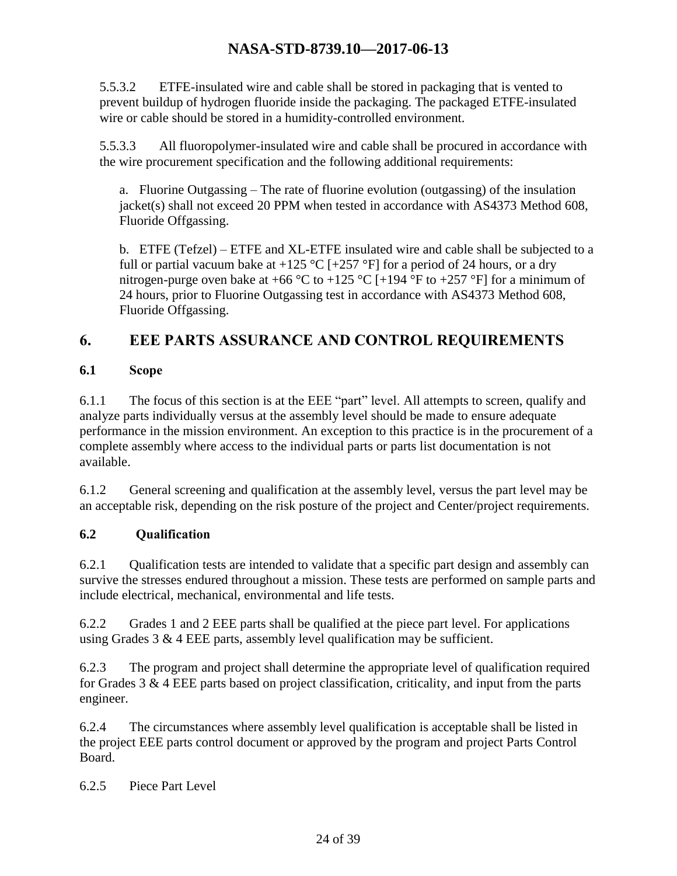5.5.3.2 ETFE-insulated wire and cable shall be stored in packaging that is vented to prevent buildup of hydrogen fluoride inside the packaging. The packaged ETFE-insulated wire or cable should be stored in a humidity-controlled environment.

5.5.3.3 All fluoropolymer-insulated wire and cable shall be procured in accordance with the wire procurement specification and the following additional requirements:

a. Fluorine Outgassing – The rate of fluorine evolution (outgassing) of the insulation jacket(s) shall not exceed 20 PPM when tested in accordance with AS4373 Method 608, Fluoride Offgassing.

b. ETFE (Tefzel) – ETFE and XL-ETFE insulated wire and cable shall be subjected to a full or partial vacuum bake at +125 °C [+257 °F] for a period of 24 hours, or a dry nitrogen-purge oven bake at +66 °C to +125 °C [+194 °F to +257 °F] for a minimum of 24 hours, prior to Fluorine Outgassing test in accordance with AS4373 Method 608, Fluoride Offgassing.

# <span id="page-23-0"></span>**6. EEE PARTS ASSURANCE AND CONTROL REQUIREMENTS**

### <span id="page-23-1"></span>**6.1 Scope**

6.1.1 The focus of this section is at the EEE "part" level. All attempts to screen, qualify and analyze parts individually versus at the assembly level should be made to ensure adequate performance in the mission environment. An exception to this practice is in the procurement of a complete assembly where access to the individual parts or parts list documentation is not available.

6.1.2 General screening and qualification at the assembly level, versus the part level may be an acceptable risk, depending on the risk posture of the project and Center/project requirements.

### <span id="page-23-2"></span>**6.2 Qualification**

6.2.1 Qualification tests are intended to validate that a specific part design and assembly can survive the stresses endured throughout a mission. These tests are performed on sample parts and include electrical, mechanical, environmental and life tests.

6.2.2 Grades 1 and 2 EEE parts shall be qualified at the piece part level. For applications using Grades  $3 \& 4$  EEE parts, assembly level qualification may be sufficient.

6.2.3 The program and project shall determine the appropriate level of qualification required for Grades 3 & 4 EEE parts based on project classification, criticality, and input from the parts engineer.

6.2.4 The circumstances where assembly level qualification is acceptable shall be listed in the project EEE parts control document or approved by the program and project Parts Control Board.

6.2.5 Piece Part Level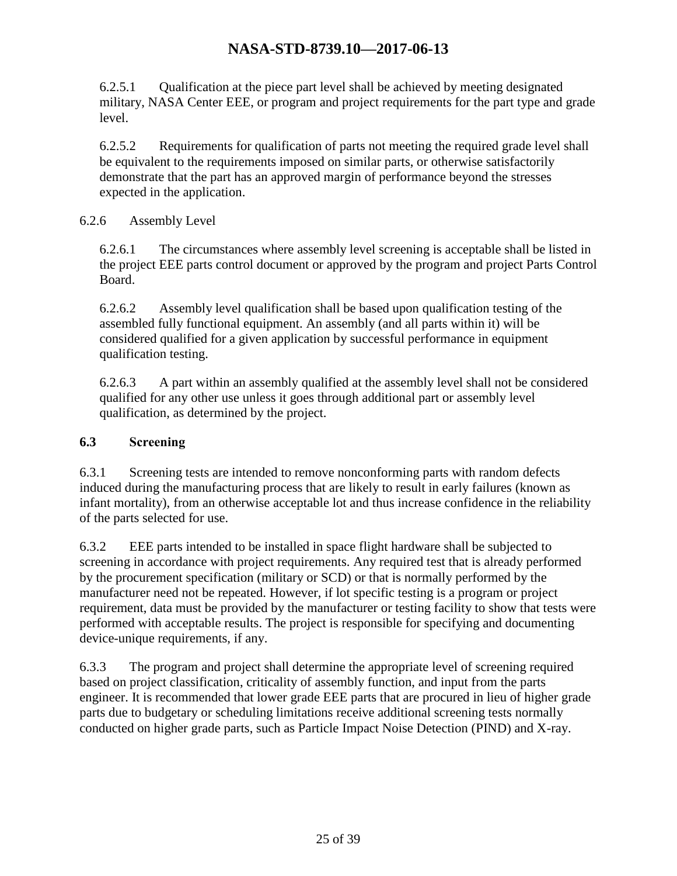6.2.5.1 Qualification at the piece part level shall be achieved by meeting designated military, NASA Center EEE, or program and project requirements for the part type and grade level.

6.2.5.2 Requirements for qualification of parts not meeting the required grade level shall be equivalent to the requirements imposed on similar parts, or otherwise satisfactorily demonstrate that the part has an approved margin of performance beyond the stresses expected in the application.

#### 6.2.6 Assembly Level

6.2.6.1 The circumstances where assembly level screening is acceptable shall be listed in the project EEE parts control document or approved by the program and project Parts Control Board.

6.2.6.2 Assembly level qualification shall be based upon qualification testing of the assembled fully functional equipment. An assembly (and all parts within it) will be considered qualified for a given application by successful performance in equipment qualification testing.

6.2.6.3 A part within an assembly qualified at the assembly level shall not be considered qualified for any other use unless it goes through additional part or assembly level qualification, as determined by the project.

#### <span id="page-24-0"></span>**6.3 Screening**

6.3.1 Screening tests are intended to remove nonconforming parts with random defects induced during the manufacturing process that are likely to result in early failures (known as infant mortality), from an otherwise acceptable lot and thus increase confidence in the reliability of the parts selected for use.

6.3.2 EEE parts intended to be installed in space flight hardware shall be subjected to screening in accordance with project requirements. Any required test that is already performed by the procurement specification (military or SCD) or that is normally performed by the manufacturer need not be repeated. However, if lot specific testing is a program or project requirement, data must be provided by the manufacturer or testing facility to show that tests were performed with acceptable results. The project is responsible for specifying and documenting device-unique requirements, if any.

6.3.3 The program and project shall determine the appropriate level of screening required based on project classification, criticality of assembly function, and input from the parts engineer. It is recommended that lower grade EEE parts that are procured in lieu of higher grade parts due to budgetary or scheduling limitations receive additional screening tests normally conducted on higher grade parts, such as Particle Impact Noise Detection (PIND) and X-ray.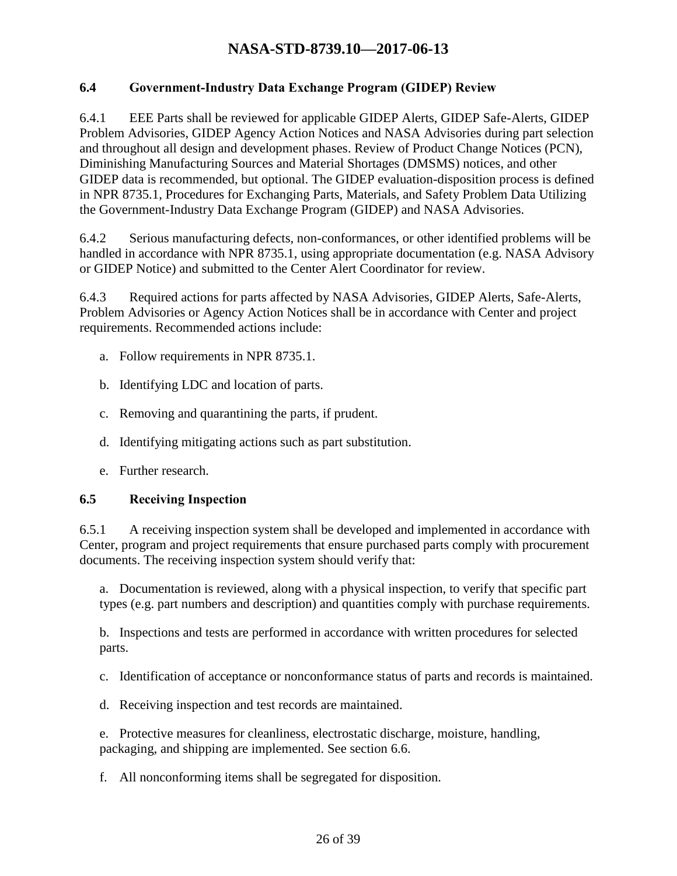#### <span id="page-25-0"></span>**6.4 Government-Industry Data Exchange Program (GIDEP) Review**

6.4.1 EEE Parts shall be reviewed for applicable GIDEP Alerts, GIDEP Safe-Alerts, GIDEP Problem Advisories, GIDEP Agency Action Notices and NASA Advisories during part selection and throughout all design and development phases. Review of Product Change Notices (PCN), Diminishing Manufacturing Sources and Material Shortages (DMSMS) notices, and other GIDEP data is recommended, but optional. The GIDEP evaluation-disposition process is defined in NPR 8735.1, Procedures for Exchanging Parts, Materials, and Safety Problem Data Utilizing the Government-Industry Data Exchange Program (GIDEP) and NASA Advisories.

6.4.2 Serious manufacturing defects, non-conformances, or other identified problems will be handled in accordance with NPR 8735.1, using appropriate documentation (e.g. NASA Advisory or GIDEP Notice) and submitted to the Center Alert Coordinator for review.

6.4.3 Required actions for parts affected by NASA Advisories, GIDEP Alerts, Safe-Alerts, Problem Advisories or Agency Action Notices shall be in accordance with Center and project requirements. Recommended actions include:

- a. Follow requirements in NPR 8735.1.
- b. Identifying LDC and location of parts.
- c. Removing and quarantining the parts, if prudent.
- d. Identifying mitigating actions such as part substitution.
- e. Further research.

#### <span id="page-25-1"></span>**6.5 Receiving Inspection**

6.5.1 A receiving inspection system shall be developed and implemented in accordance with Center, program and project requirements that ensure purchased parts comply with procurement documents. The receiving inspection system should verify that:

a. Documentation is reviewed, along with a physical inspection, to verify that specific part types (e.g. part numbers and description) and quantities comply with purchase requirements.

b. Inspections and tests are performed in accordance with written procedures for selected parts.

c. Identification of acceptance or nonconformance status of parts and records is maintained.

d. Receiving inspection and test records are maintained.

e. Protective measures for cleanliness, electrostatic discharge, moisture, handling, packaging, and shipping are implemented. See section 6.6.

f. All nonconforming items shall be segregated for disposition.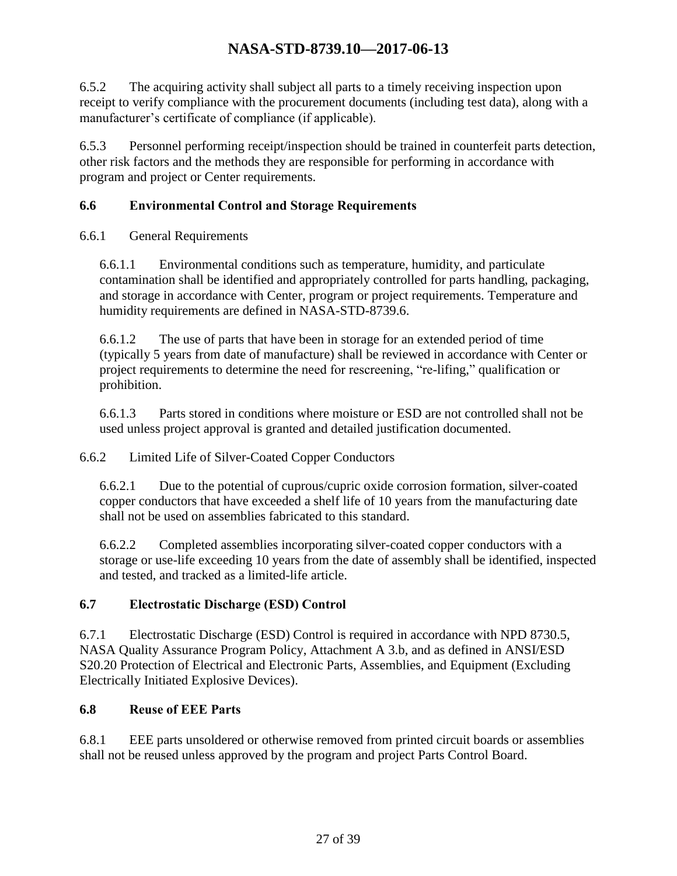6.5.2 The acquiring activity shall subject all parts to a timely receiving inspection upon receipt to verify compliance with the procurement documents (including test data), along with a manufacturer's certificate of compliance (if applicable).

6.5.3 Personnel performing receipt/inspection should be trained in counterfeit parts detection, other risk factors and the methods they are responsible for performing in accordance with program and project or Center requirements.

### <span id="page-26-0"></span>**6.6 Environmental Control and Storage Requirements**

#### 6.6.1 General Requirements

6.6.1.1 Environmental conditions such as temperature, humidity, and particulate contamination shall be identified and appropriately controlled for parts handling, packaging, and storage in accordance with Center, program or project requirements. Temperature and humidity requirements are defined in NASA-STD-8739.6.

6.6.1.2 The use of parts that have been in storage for an extended period of time (typically 5 years from date of manufacture) shall be reviewed in accordance with Center or project requirements to determine the need for rescreening, "re-lifing," qualification or prohibition.

6.6.1.3 Parts stored in conditions where moisture or ESD are not controlled shall not be used unless project approval is granted and detailed justification documented.

### 6.6.2 Limited Life of Silver-Coated Copper Conductors

6.6.2.1 Due to the potential of cuprous/cupric oxide corrosion formation, silver-coated copper conductors that have exceeded a shelf life of 10 years from the manufacturing date shall not be used on assemblies fabricated to this standard.

6.6.2.2 Completed assemblies incorporating silver-coated copper conductors with a storage or use-life exceeding 10 years from the date of assembly shall be identified, inspected and tested, and tracked as a limited-life article.

### <span id="page-26-1"></span>**6.7 Electrostatic Discharge (ESD) Control**

6.7.1 Electrostatic Discharge (ESD) Control is required in accordance with NPD 8730.5, NASA Quality Assurance Program Policy, Attachment A 3.b, and as defined in ANSI/ESD S20.20 Protection of Electrical and Electronic Parts, Assemblies, and Equipment (Excluding Electrically Initiated Explosive Devices).

### <span id="page-26-2"></span>**6.8 Reuse of EEE Parts**

6.8.1 EEE parts unsoldered or otherwise removed from printed circuit boards or assemblies shall not be reused unless approved by the program and project Parts Control Board.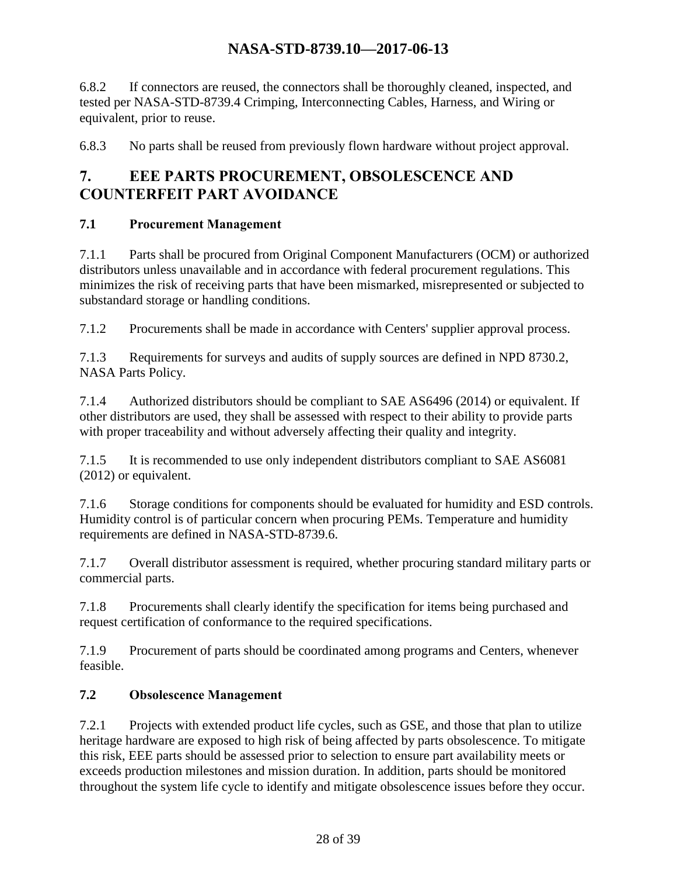6.8.2 If connectors are reused, the connectors shall be thoroughly cleaned, inspected, and tested per NASA-STD-8739.4 Crimping, Interconnecting Cables, Harness, and Wiring or equivalent, prior to reuse.

6.8.3 No parts shall be reused from previously flown hardware without project approval.

# <span id="page-27-0"></span>**7. EEE PARTS PROCUREMENT, OBSOLESCENCE AND COUNTERFEIT PART AVOIDANCE**

### <span id="page-27-1"></span>**7.1 Procurement Management**

7.1.1 Parts shall be procured from Original Component Manufacturers (OCM) or authorized distributors unless unavailable and in accordance with federal procurement regulations. This minimizes the risk of receiving parts that have been mismarked, misrepresented or subjected to substandard storage or handling conditions.

7.1.2 Procurements shall be made in accordance with Centers' supplier approval process.

7.1.3 Requirements for surveys and audits of supply sources are defined in NPD 8730.2, NASA Parts Policy.

7.1.4 Authorized distributors should be compliant to SAE AS6496 (2014) or equivalent. If other distributors are used, they shall be assessed with respect to their ability to provide parts with proper traceability and without adversely affecting their quality and integrity.

7.1.5 It is recommended to use only independent distributors compliant to SAE AS6081 (2012) or equivalent.

7.1.6 Storage conditions for components should be evaluated for humidity and ESD controls. Humidity control is of particular concern when procuring PEMs. Temperature and humidity requirements are defined in NASA-STD-8739.6.

7.1.7 Overall distributor assessment is required, whether procuring standard military parts or commercial parts.

7.1.8 Procurements shall clearly identify the specification for items being purchased and request certification of conformance to the required specifications.

7.1.9 Procurement of parts should be coordinated among programs and Centers, whenever feasible.

### <span id="page-27-2"></span>**7.2 Obsolescence Management**

7.2.1 Projects with extended product life cycles, such as GSE, and those that plan to utilize heritage hardware are exposed to high risk of being affected by parts obsolescence. To mitigate this risk, EEE parts should be assessed prior to selection to ensure part availability meets or exceeds production milestones and mission duration. In addition, parts should be monitored throughout the system life cycle to identify and mitigate obsolescence issues before they occur.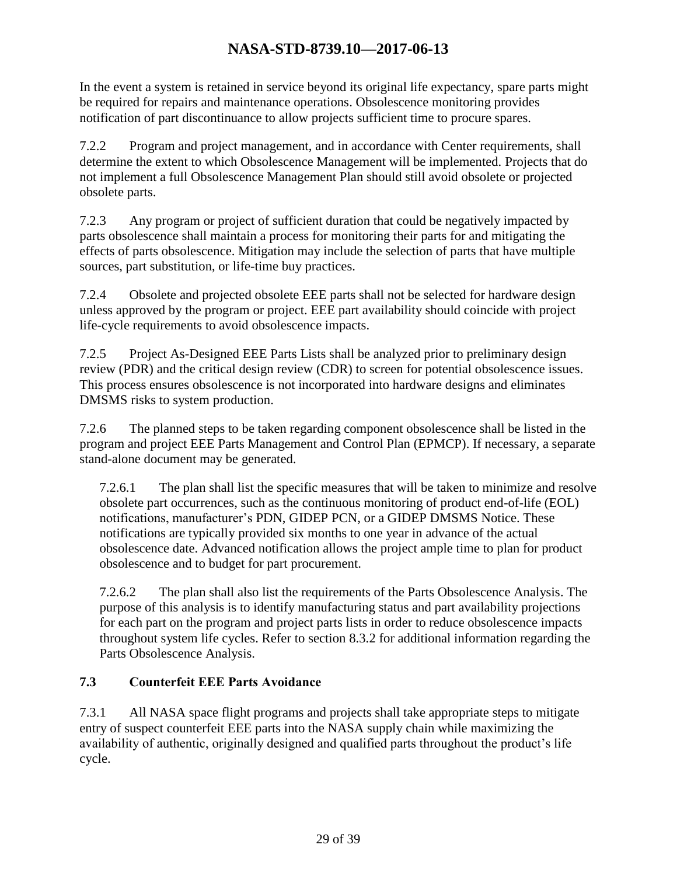In the event a system is retained in service beyond its original life expectancy, spare parts might be required for repairs and maintenance operations. Obsolescence monitoring provides notification of part discontinuance to allow projects sufficient time to procure spares.

7.2.2 Program and project management, and in accordance with Center requirements, shall determine the extent to which Obsolescence Management will be implemented. Projects that do not implement a full Obsolescence Management Plan should still avoid obsolete or projected obsolete parts.

7.2.3 Any program or project of sufficient duration that could be negatively impacted by parts obsolescence shall maintain a process for monitoring their parts for and mitigating the effects of parts obsolescence. Mitigation may include the selection of parts that have multiple sources, part substitution, or life-time buy practices.

7.2.4 Obsolete and projected obsolete EEE parts shall not be selected for hardware design unless approved by the program or project. EEE part availability should coincide with project life-cycle requirements to avoid obsolescence impacts.

7.2.5 Project As-Designed EEE Parts Lists shall be analyzed prior to preliminary design review (PDR) and the critical design review (CDR) to screen for potential obsolescence issues. This process ensures obsolescence is not incorporated into hardware designs and eliminates DMSMS risks to system production.

7.2.6 The planned steps to be taken regarding component obsolescence shall be listed in the program and project EEE Parts Management and Control Plan (EPMCP). If necessary, a separate stand-alone document may be generated.

7.2.6.1 The plan shall list the specific measures that will be taken to minimize and resolve obsolete part occurrences, such as the continuous monitoring of product end-of-life (EOL) notifications, manufacturer's PDN, GIDEP PCN, or a GIDEP DMSMS Notice. These notifications are typically provided six months to one year in advance of the actual obsolescence date. Advanced notification allows the project ample time to plan for product obsolescence and to budget for part procurement.

7.2.6.2 The plan shall also list the requirements of the Parts Obsolescence Analysis. The purpose of this analysis is to identify manufacturing status and part availability projections for each part on the program and project parts lists in order to reduce obsolescence impacts throughout system life cycles. Refer to section 8.3.2 for additional information regarding the Parts Obsolescence Analysis.

### <span id="page-28-0"></span>**7.3 Counterfeit EEE Parts Avoidance**

7.3.1 All NASA space flight programs and projects shall take appropriate steps to mitigate entry of suspect counterfeit EEE parts into the NASA supply chain while maximizing the availability of authentic, originally designed and qualified parts throughout the product's life cycle.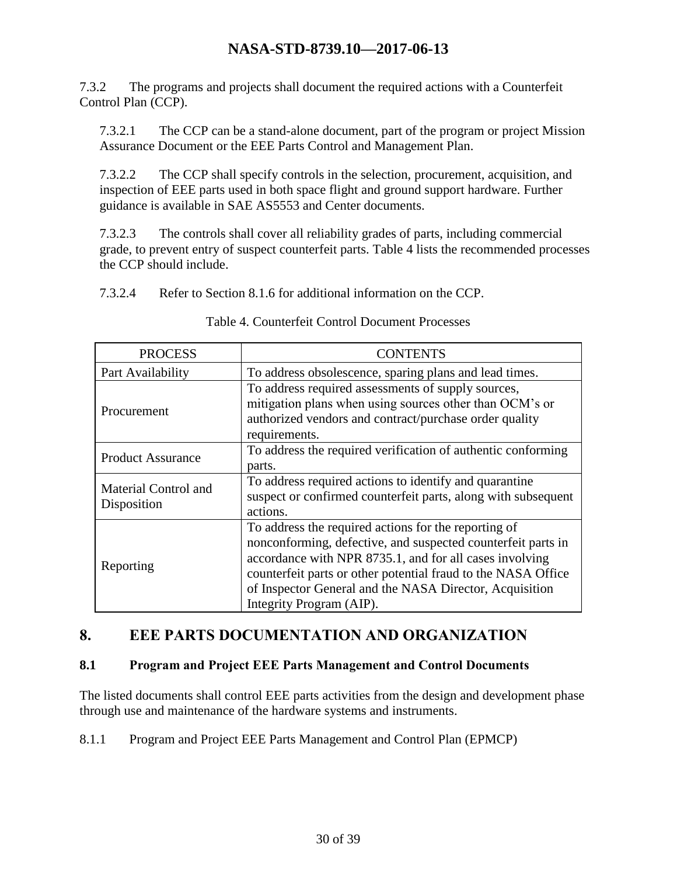7.3.2 The programs and projects shall document the required actions with a Counterfeit Control Plan (CCP).

7.3.2.1 The CCP can be a stand-alone document, part of the program or project Mission Assurance Document or the EEE Parts Control and Management Plan.

7.3.2.2 The CCP shall specify controls in the selection, procurement, acquisition, and inspection of EEE parts used in both space flight and ground support hardware. Further guidance is available in SAE AS5553 and Center documents.

7.3.2.3 The controls shall cover all reliability grades of parts, including commercial grade, to prevent entry of suspect counterfeit parts. Table 4 lists the recommended processes the CCP should include.

7.3.2.4 Refer to Section 8.1.6 for additional information on the CCP.

<span id="page-29-2"></span>

| <b>PROCESS</b>                      | <b>CONTENTS</b>                                                                                                                                                                                                                                                                                                                         |  |
|-------------------------------------|-----------------------------------------------------------------------------------------------------------------------------------------------------------------------------------------------------------------------------------------------------------------------------------------------------------------------------------------|--|
| Part Availability                   | To address obsolescence, sparing plans and lead times.                                                                                                                                                                                                                                                                                  |  |
| Procurement                         | To address required assessments of supply sources,<br>mitigation plans when using sources other than OCM's or<br>authorized vendors and contract/purchase order quality<br>requirements.                                                                                                                                                |  |
| <b>Product Assurance</b>            | To address the required verification of authentic conforming<br>parts.                                                                                                                                                                                                                                                                  |  |
| Material Control and<br>Disposition | To address required actions to identify and quarantine<br>suspect or confirmed counterfeit parts, along with subsequent<br>actions.                                                                                                                                                                                                     |  |
| Reporting                           | To address the required actions for the reporting of<br>nonconforming, defective, and suspected counterfeit parts in<br>accordance with NPR 8735.1, and for all cases involving<br>counterfeit parts or other potential fraud to the NASA Office<br>of Inspector General and the NASA Director, Acquisition<br>Integrity Program (AIP). |  |

Table 4. Counterfeit Control Document Processes

# <span id="page-29-0"></span>**8. EEE PARTS DOCUMENTATION AND ORGANIZATION**

#### <span id="page-29-1"></span>**8.1 Program and Project EEE Parts Management and Control Documents**

The listed documents shall control EEE parts activities from the design and development phase through use and maintenance of the hardware systems and instruments.

8.1.1 Program and Project EEE Parts Management and Control Plan (EPMCP)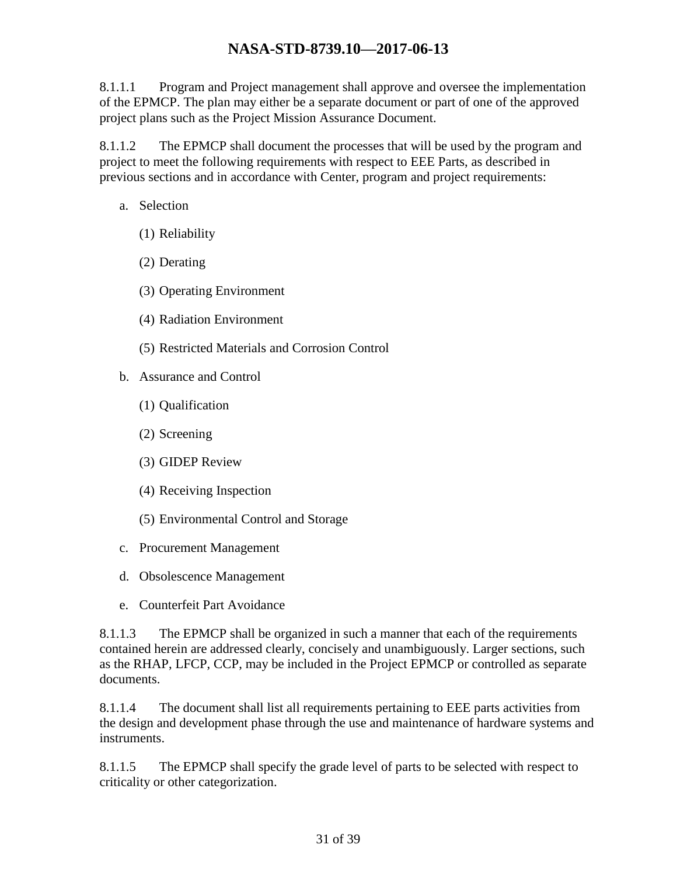8.1.1.1 Program and Project management shall approve and oversee the implementation of the EPMCP. The plan may either be a separate document or part of one of the approved project plans such as the Project Mission Assurance Document.

8.1.1.2 The EPMCP shall document the processes that will be used by the program and project to meet the following requirements with respect to EEE Parts, as described in previous sections and in accordance with Center, program and project requirements:

- a. Selection
	- (1) Reliability
	- (2) Derating
	- (3) Operating Environment
	- (4) Radiation Environment
	- (5) Restricted Materials and Corrosion Control
- b. Assurance and Control
	- (1) Qualification
	- (2) Screening
	- (3) GIDEP Review
	- (4) Receiving Inspection
	- (5) Environmental Control and Storage
- c. Procurement Management
- d. Obsolescence Management
- e. Counterfeit Part Avoidance

8.1.1.3 The EPMCP shall be organized in such a manner that each of the requirements contained herein are addressed clearly, concisely and unambiguously. Larger sections, such as the RHAP, LFCP, CCP, may be included in the Project EPMCP or controlled as separate documents.

8.1.1.4 The document shall list all requirements pertaining to EEE parts activities from the design and development phase through the use and maintenance of hardware systems and instruments.

8.1.1.5 The EPMCP shall specify the grade level of parts to be selected with respect to criticality or other categorization.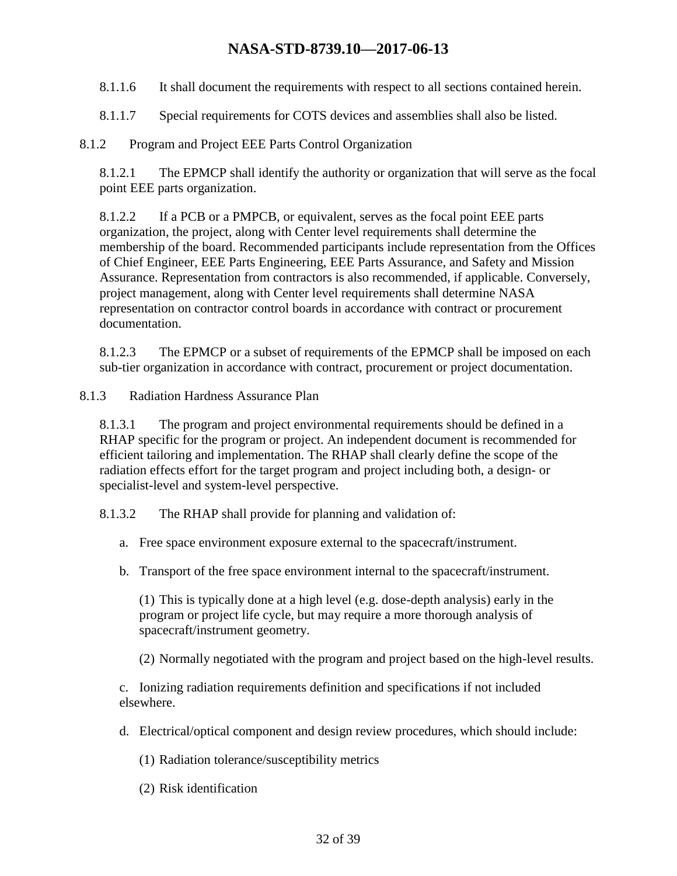- 8.1.1.6 It shall document the requirements with respect to all sections contained herein.
- 8.1.1.7 Special requirements for COTS devices and assemblies shall also be listed.

#### 8.1.2 Program and Project EEE Parts Control Organization

8.1.2.1 The EPMCP shall identify the authority or organization that will serve as the focal point EEE parts organization.

8.1.2.2 If a PCB or a PMPCB, or equivalent, serves as the focal point EEE parts organization, the project, along with Center level requirements shall determine the membership of the board. Recommended participants include representation from the Offices of Chief Engineer, EEE Parts Engineering, EEE Parts Assurance, and Safety and Mission Assurance. Representation from contractors is also recommended, if applicable. Conversely, project management, along with Center level requirements shall determine NASA representation on contractor control boards in accordance with contract or procurement documentation.

8.1.2.3 The EPMCP or a subset of requirements of the EPMCP shall be imposed on each sub-tier organization in accordance with contract, procurement or project documentation.

8.1.3 Radiation Hardness Assurance Plan

8.1.3.1 The program and project environmental requirements should be defined in a RHAP specific for the program or project. An independent document is recommended for efficient tailoring and implementation. The RHAP shall clearly define the scope of the radiation effects effort for the target program and project including both, a design- or specialist-level and system-level perspective.

8.1.3.2 The RHAP shall provide for planning and validation of:

- a. Free space environment exposure external to the spacecraft/instrument.
- b. Transport of the free space environment internal to the spacecraft/instrument.

(1) This is typically done at a high level (e.g. dose-depth analysis) early in the program or project life cycle, but may require a more thorough analysis of spacecraft/instrument geometry.

(2) Normally negotiated with the program and project based on the high-level results.

c. Ionizing radiation requirements definition and specifications if not included elsewhere.

- d. Electrical/optical component and design review procedures, which should include:
	- (1) Radiation tolerance/susceptibility metrics
	- (2) Risk identification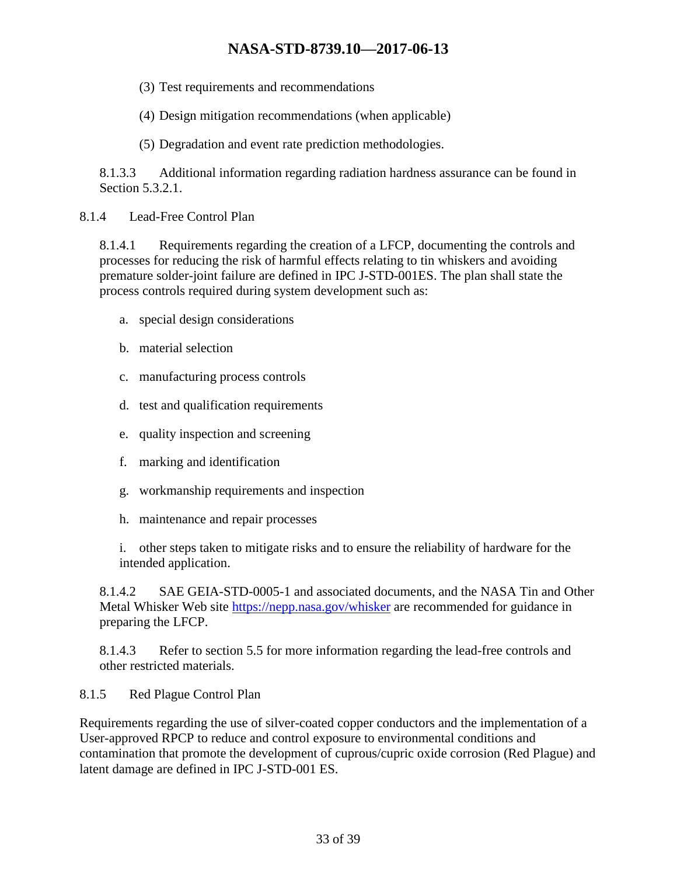- (3) Test requirements and recommendations
- (4) Design mitigation recommendations (when applicable)
- (5) Degradation and event rate prediction methodologies.

8.1.3.3 Additional information regarding radiation hardness assurance can be found in Section 5.3.2.1.

8.1.4 Lead-Free Control Plan

8.1.4.1 Requirements regarding the creation of a LFCP, documenting the controls and processes for reducing the risk of harmful effects relating to tin whiskers and avoiding premature solder-joint failure are defined in IPC J-STD-001ES. The plan shall state the process controls required during system development such as:

- a. special design considerations
- b. material selection
- c. manufacturing process controls
- d. test and qualification requirements
- e. quality inspection and screening
- f. marking and identification
- g. workmanship requirements and inspection
- h. maintenance and repair processes

i. other steps taken to mitigate risks and to ensure the reliability of hardware for the intended application.

8.1.4.2 SAE GEIA-STD-0005-1 and associated documents, and the NASA Tin and Other Metal Whisker Web site <https://nepp.nasa.gov/whisker> are recommended for guidance in preparing the LFCP.

8.1.4.3 Refer to section 5.5 for more information regarding the lead-free controls and other restricted materials.

#### 8.1.5 Red Plague Control Plan

Requirements regarding the use of silver-coated copper conductors and the implementation of a User-approved RPCP to reduce and control exposure to environmental conditions and contamination that promote the development of cuprous/cupric oxide corrosion (Red Plague) and latent damage are defined in IPC J-STD-001 ES.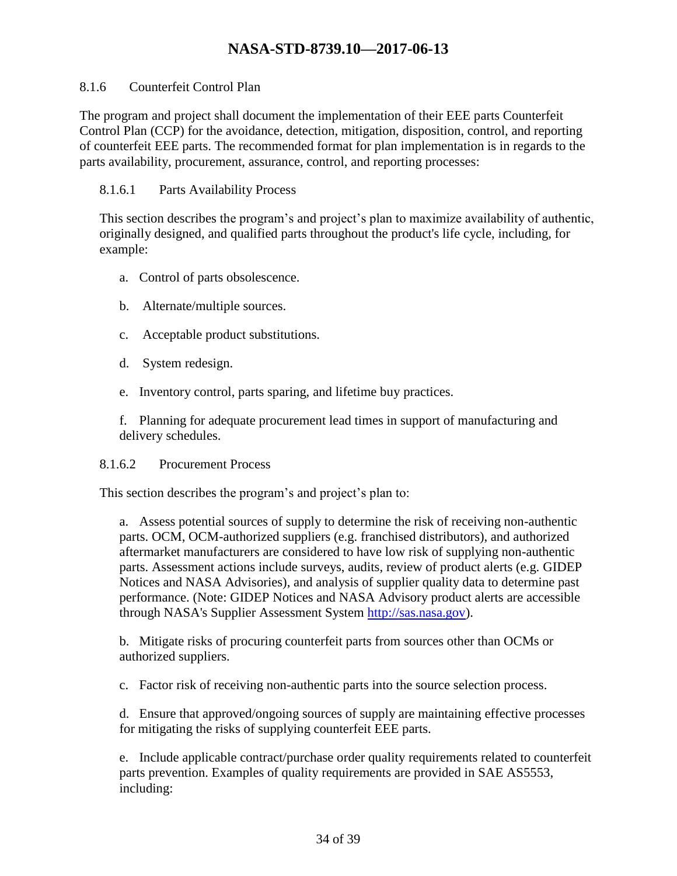#### 8.1.6 Counterfeit Control Plan

The program and project shall document the implementation of their EEE parts Counterfeit Control Plan (CCP) for the avoidance, detection, mitigation, disposition, control, and reporting of counterfeit EEE parts. The recommended format for plan implementation is in regards to the parts availability, procurement, assurance, control, and reporting processes:

#### 8.1.6.1 Parts Availability Process

This section describes the program's and project's plan to maximize availability of authentic, originally designed, and qualified parts throughout the product's life cycle, including, for example:

- a. Control of parts obsolescence.
- b. Alternate/multiple sources.
- c. Acceptable product substitutions.
- d. System redesign.
- e. Inventory control, parts sparing, and lifetime buy practices.

f. Planning for adequate procurement lead times in support of manufacturing and delivery schedules.

#### 8.1.6.2 Procurement Process

This section describes the program's and project's plan to:

a. Assess potential sources of supply to determine the risk of receiving non-authentic parts. OCM, OCM-authorized suppliers (e.g. franchised distributors), and authorized aftermarket manufacturers are considered to have low risk of supplying non-authentic parts. Assessment actions include surveys, audits, review of product alerts (e.g. GIDEP Notices and NASA Advisories), and analysis of supplier quality data to determine past performance. (Note: GIDEP Notices and NASA Advisory product alerts are accessible through NASA's Supplier Assessment System [http://sas.nasa.gov\)](http://sas.nasa.gov/).

b. Mitigate risks of procuring counterfeit parts from sources other than OCMs or authorized suppliers.

c. Factor risk of receiving non-authentic parts into the source selection process.

d. Ensure that approved/ongoing sources of supply are maintaining effective processes for mitigating the risks of supplying counterfeit EEE parts.

e. Include applicable contract/purchase order quality requirements related to counterfeit parts prevention. Examples of quality requirements are provided in SAE AS5553, including: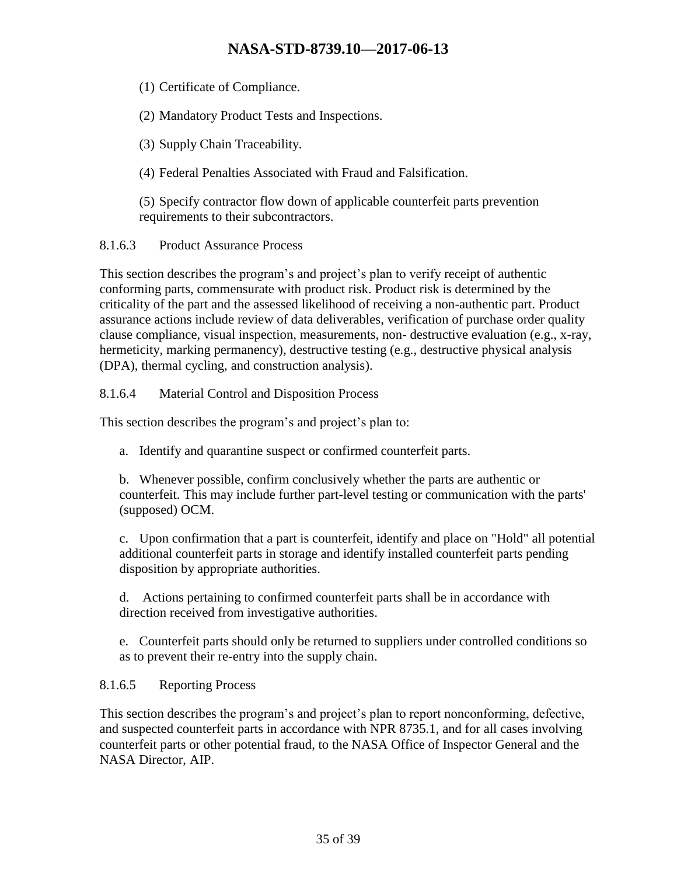(1) Certificate of Compliance.

(2) Mandatory Product Tests and Inspections.

(3) Supply Chain Traceability.

(4) Federal Penalties Associated with Fraud and Falsification.

(5) Specify contractor flow down of applicable counterfeit parts prevention requirements to their subcontractors.

8.1.6.3 Product Assurance Process

This section describes the program's and project's plan to verify receipt of authentic conforming parts, commensurate with product risk. Product risk is determined by the criticality of the part and the assessed likelihood of receiving a non-authentic part. Product assurance actions include review of data deliverables, verification of purchase order quality clause compliance, visual inspection, measurements, non- destructive evaluation (e.g., x-ray, hermeticity, marking permanency), destructive testing (e.g., destructive physical analysis (DPA), thermal cycling, and construction analysis).

8.1.6.4 Material Control and Disposition Process

This section describes the program's and project's plan to:

a. Identify and quarantine suspect or confirmed counterfeit parts.

b. Whenever possible, confirm conclusively whether the parts are authentic or counterfeit. This may include further part-level testing or communication with the parts' (supposed) OCM.

c. Upon confirmation that a part is counterfeit, identify and place on "Hold" all potential additional counterfeit parts in storage and identify installed counterfeit parts pending disposition by appropriate authorities.

d. Actions pertaining to confirmed counterfeit parts shall be in accordance with direction received from investigative authorities.

e. Counterfeit parts should only be returned to suppliers under controlled conditions so as to prevent their re-entry into the supply chain.

### 8.1.6.5 Reporting Process

This section describes the program's and project's plan to report nonconforming, defective, and suspected counterfeit parts in accordance with NPR 8735.1, and for all cases involving counterfeit parts or other potential fraud, to the NASA Office of Inspector General and the NASA Director, AIP.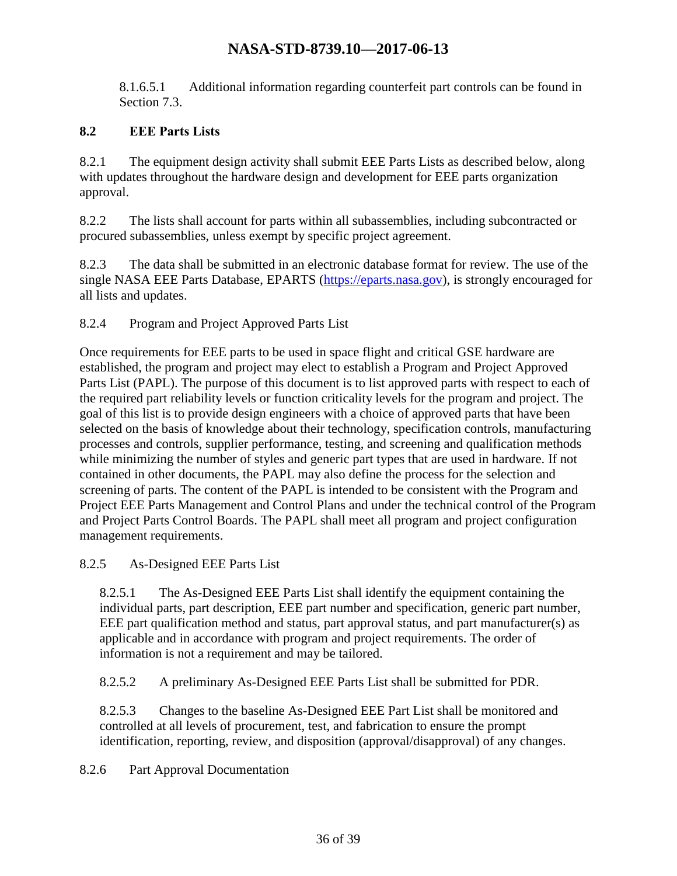8.1.6.5.1 Additional information regarding counterfeit part controls can be found in Section 7.3.

#### <span id="page-35-0"></span>**8.2 EEE Parts Lists**

8.2.1 The equipment design activity shall submit EEE Parts Lists as described below, along with updates throughout the hardware design and development for EEE parts organization approval.

8.2.2 The lists shall account for parts within all subassemblies, including subcontracted or procured subassemblies, unless exempt by specific project agreement.

8.2.3 The data shall be submitted in an electronic database format for review. The use of the single NASA EEE Parts Database, EPARTS [\(https://eparts.nasa.gov\)](https://eparts.nasa.gov/), is strongly encouraged for all lists and updates.

8.2.4 Program and Project Approved Parts List

Once requirements for EEE parts to be used in space flight and critical GSE hardware are established, the program and project may elect to establish a Program and Project Approved Parts List (PAPL). The purpose of this document is to list approved parts with respect to each of the required part reliability levels or function criticality levels for the program and project. The goal of this list is to provide design engineers with a choice of approved parts that have been selected on the basis of knowledge about their technology, specification controls, manufacturing processes and controls, supplier performance, testing, and screening and qualification methods while minimizing the number of styles and generic part types that are used in hardware. If not contained in other documents, the PAPL may also define the process for the selection and screening of parts. The content of the PAPL is intended to be consistent with the Program and Project EEE Parts Management and Control Plans and under the technical control of the Program and Project Parts Control Boards. The PAPL shall meet all program and project configuration management requirements.

#### 8.2.5 As-Designed EEE Parts List

8.2.5.1 The As-Designed EEE Parts List shall identify the equipment containing the individual parts, part description, EEE part number and specification, generic part number, EEE part qualification method and status, part approval status, and part manufacturer(s) as applicable and in accordance with program and project requirements. The order of information is not a requirement and may be tailored.

8.2.5.2 A preliminary As-Designed EEE Parts List shall be submitted for PDR.

8.2.5.3 Changes to the baseline As-Designed EEE Part List shall be monitored and controlled at all levels of procurement, test, and fabrication to ensure the prompt identification, reporting, review, and disposition (approval/disapproval) of any changes.

8.2.6 Part Approval Documentation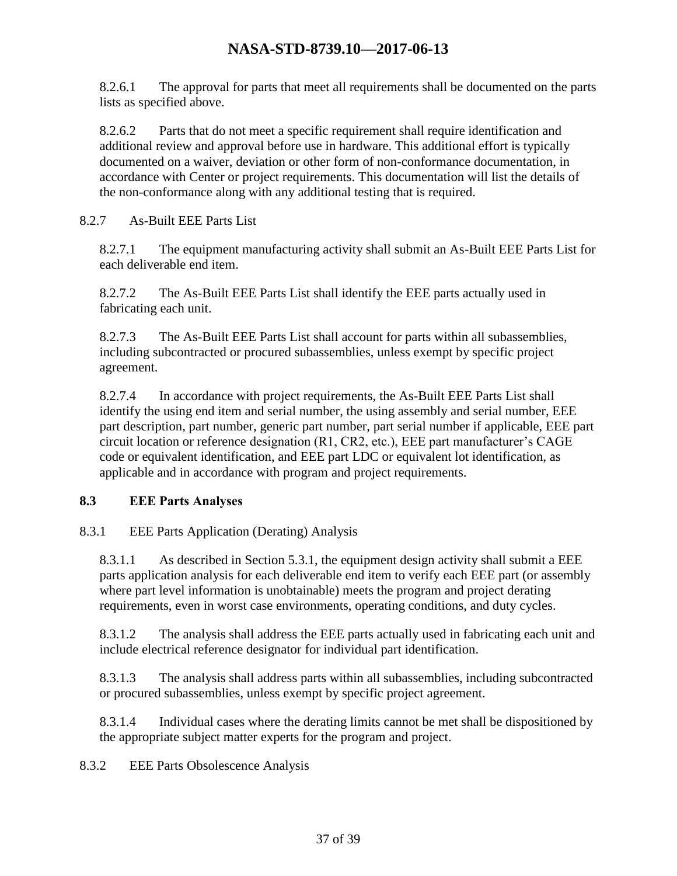8.2.6.1 The approval for parts that meet all requirements shall be documented on the parts lists as specified above.

8.2.6.2 Parts that do not meet a specific requirement shall require identification and additional review and approval before use in hardware. This additional effort is typically documented on a waiver, deviation or other form of non-conformance documentation, in accordance with Center or project requirements. This documentation will list the details of the non-conformance along with any additional testing that is required.

#### 8.2.7 As-Built EEE Parts List

8.2.7.1 The equipment manufacturing activity shall submit an As-Built EEE Parts List for each deliverable end item.

8.2.7.2 The As-Built EEE Parts List shall identify the EEE parts actually used in fabricating each unit.

8.2.7.3 The As-Built EEE Parts List shall account for parts within all subassemblies, including subcontracted or procured subassemblies, unless exempt by specific project agreement.

8.2.7.4 In accordance with project requirements, the As-Built EEE Parts List shall identify the using end item and serial number, the using assembly and serial number, EEE part description, part number, generic part number, part serial number if applicable, EEE part circuit location or reference designation (R1, CR2, etc.), EEE part manufacturer's CAGE code or equivalent identification, and EEE part LDC or equivalent lot identification, as applicable and in accordance with program and project requirements.

#### <span id="page-36-0"></span>**8.3 EEE Parts Analyses**

#### 8.3.1 EEE Parts Application (Derating) Analysis

8.3.1.1 As described in Section 5.3.1, the equipment design activity shall submit a EEE parts application analysis for each deliverable end item to verify each EEE part (or assembly where part level information is unobtainable) meets the program and project derating requirements, even in worst case environments, operating conditions, and duty cycles.

8.3.1.2 The analysis shall address the EEE parts actually used in fabricating each unit and include electrical reference designator for individual part identification.

8.3.1.3 The analysis shall address parts within all subassemblies, including subcontracted or procured subassemblies, unless exempt by specific project agreement.

8.3.1.4 Individual cases where the derating limits cannot be met shall be dispositioned by the appropriate subject matter experts for the program and project.

8.3.2 EEE Parts Obsolescence Analysis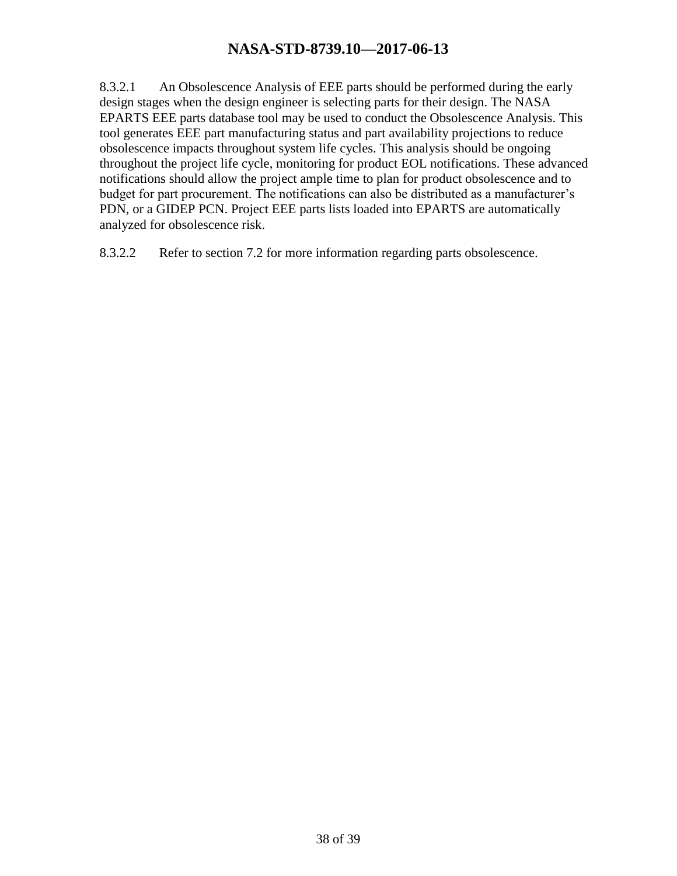8.3.2.1 An Obsolescence Analysis of EEE parts should be performed during the early design stages when the design engineer is selecting parts for their design. The NASA EPARTS EEE parts database tool may be used to conduct the Obsolescence Analysis. This tool generates EEE part manufacturing status and part availability projections to reduce obsolescence impacts throughout system life cycles. This analysis should be ongoing throughout the project life cycle, monitoring for product EOL notifications. These advanced notifications should allow the project ample time to plan for product obsolescence and to budget for part procurement. The notifications can also be distributed as a manufacturer's PDN, or a GIDEP PCN. Project EEE parts lists loaded into EPARTS are automatically analyzed for obsolescence risk.

8.3.2.2 Refer to section 7.2 for more information regarding parts obsolescence.